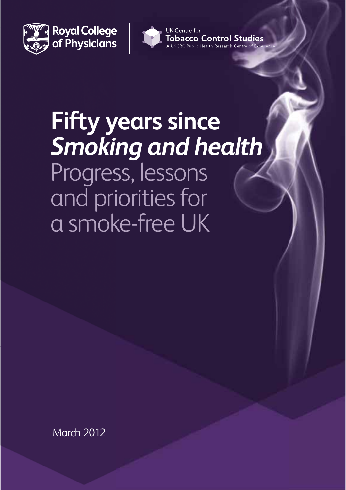



# **Fifty years since**  *Smoking and health* Progress, lessons and priorities for a smoke-free UK

March 2012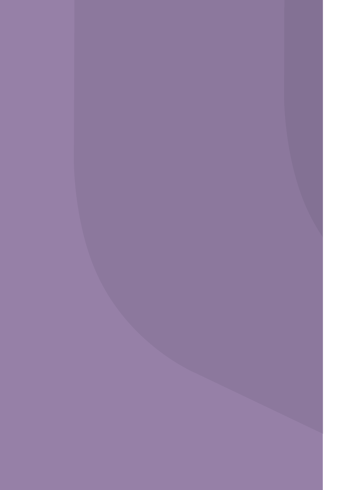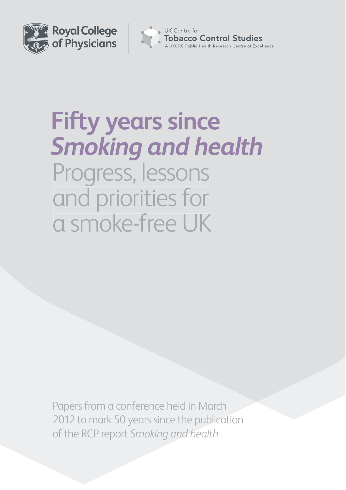



# **Fifty years since**  *Smoking and health* Progress, lessons and priorities for a smoke-free UK

Papers from a conference held in March 2012 to mark 50 years since the publication of the RCP report *Smoking and health*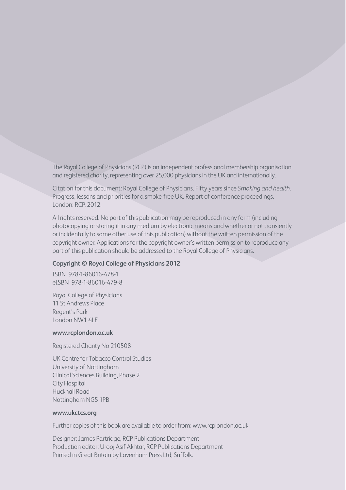The Royal College of Physicians (RCP) is an independent professional membership organisation and registered charity, representing over 25,000 physicians in the UK and internationally.

Citation for this document: Royal College of Physicians. Fifty years since *Smoking and health*. Progress, lessons and priorities for a smoke-free UK. Report of conference proceedings. London: RCP, 2012.

All rights reserved. No part of this publication may be reproduced in any form (including photocopying or storing it in any medium by electronic means and whether or not transiently or incidentally to some other use of this publication) without the written permission of the copyright owner. Applications for the copyright owner's written permission to reproduce any part of this publication should be addressed to the Royal College of Physicians.

#### **Copyright © Royal College of Physicians 2012**

ISBN 978-1-86016-478-1 eISBN 978-1-86016-479-8

Royal College of Physicians 11 St Andrews Place Regent's Park London NW1 4LE

#### **www.rcplondon.ac.uk**

Registered Charity No 210508

UK Centre for Tobacco Control Studies University of Nottingham Clinical Sciences Building, Phase 2 City Hospital Hucknall Road Nottingham NG5 1PB

#### **www.ukctcs.org**

Further copies of this book are available to order from: www.rcplondon.ac.uk

Designer: James Partridge, RCP Publications Department Production editor: Urooj Asif Akhtar, RCP Publications Department Printed in Great Britain by Lavenham Press Ltd, Suffolk.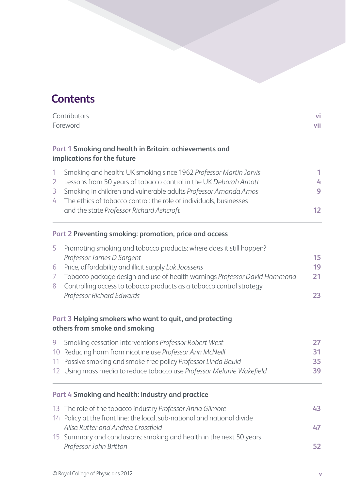### **Contents**

|                                                                                       | Contributors<br>Foreword                                                                                                                                                                                                                                                        |             |
|---------------------------------------------------------------------------------------|---------------------------------------------------------------------------------------------------------------------------------------------------------------------------------------------------------------------------------------------------------------------------------|-------------|
| Part 1 Smoking and health in Britain: achievements and<br>implications for the future |                                                                                                                                                                                                                                                                                 |             |
| 1<br>$\overline{2}$<br>3<br>4                                                         | Smoking and health: UK smoking since 1962 Professor Martin Jarvis<br>Lessons from 50 years of tobacco control in the UK Deborah Arnott<br>Smoking in children and vulnerable adults Professor Amanda Amos<br>The ethics of tobacco control: the role of individuals, businesses | 1<br>4<br>9 |
|                                                                                       | and the state Professor Richard Ashcroft                                                                                                                                                                                                                                        | 12          |
|                                                                                       | Part 2 Preventing smoking: promotion, price and access                                                                                                                                                                                                                          |             |
| 5                                                                                     | Promoting smoking and tobacco products: where does it still happen?                                                                                                                                                                                                             |             |
|                                                                                       | Professor James D Sargent                                                                                                                                                                                                                                                       | 15          |
| 6                                                                                     | Price, affordability and illicit supply Luk Joossens                                                                                                                                                                                                                            | 19          |
| 7<br>8                                                                                | Tobacco package design and use of health warnings Professor David Hammond<br>Controlling access to tobacco products as a tobacco control strategy                                                                                                                               | 21          |
|                                                                                       | Professor Richard Edwards                                                                                                                                                                                                                                                       | 23          |
|                                                                                       | Part 3 Helping smokers who want to quit, and protecting<br>others from smoke and smoking                                                                                                                                                                                        |             |
| 9                                                                                     | Smoking cessation interventions Professor Robert West                                                                                                                                                                                                                           | 27          |
|                                                                                       | 10 Reducing harm from nicotine use Professor Ann McNeill                                                                                                                                                                                                                        | 31          |
|                                                                                       | 11 Passive smoking and smoke-free policy Professor Linda Bauld                                                                                                                                                                                                                  | 35          |
|                                                                                       | 12 Using mass media to reduce tobacco use Professor Melanie Wakefield                                                                                                                                                                                                           | 39          |
|                                                                                       | Part 4 Smoking and health: industry and practice                                                                                                                                                                                                                                |             |
|                                                                                       | 13 The role of the tobacco industry Professor Anna Gilmore                                                                                                                                                                                                                      | 43          |
|                                                                                       | 14 Policy at the front line: the local, sub-national and national divide                                                                                                                                                                                                        |             |
|                                                                                       | Ailsa Rutter and Andrea Crossfield                                                                                                                                                                                                                                              | 47          |
|                                                                                       | 15 Summary and conclusions: smoking and health in the next 50 years<br>Professor John Britton                                                                                                                                                                                   | 52          |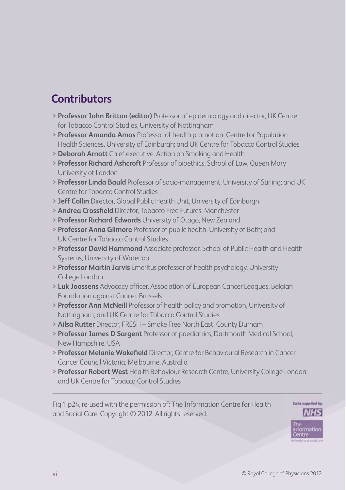### <span id="page-5-0"></span>**Contributors**

- **> Professor John Britton (editor)** Professor of epidemiology and director, UK Centre for Tobacco Control Studies, University of Nottingham
- **> Professor Amanda Amos** Professor of health promotion, Centre for Population Health Sciences, University of Edinburgh; and UK Centre for Tobacco Control Studies
- **> Deborah Arnott** Chief executive, Action on Smoking and Health
- **> Professor Richard Ashcroft** Professor of bioethics, School of Law, Queen Mary University of London
- **> Professor Linda Bauld** Professor of socio-management, University of Stirling; and UK Centre for Tobacco Control Studies
- **> Jeff Collin** Director, Global Public Health Unit, University of Edinburgh
- **> Andrea Crossfield** Director, Tobacco Free Futures, Manchester
- **> Professor Richard Edwards** University of Otago, New Zealand
- **> Professor Anna Gilmore** Professor of public health, University of Bath; and UK Centre for Tobacco Control Studies
- **> Professor David Hammond** Associate professor, School of Public Health and Health Systems, University of Waterloo
- **> Professor Martin Jarvis** Emeritus professor of health psychology, University College London
- **> Luk Joossens** Advocacy officer, Association of European Cancer Leagues, Belgian Foundation against Cancer, Brussels
- **> Professor Ann McNeill** Professor of health policy and promotion, University of Nottingham; and UK Centre for Tobacco Control Studies
- **> Ailsa Rutter** Director, FRESH Smoke Free North East, County Durham
- **> Professor James D Sargent** Professor of paediatrics, Dartmouth Medical School, New Hampshire, USA
- **> Professor Melanie Wakefield** Director, Centre for Behavioural Research in Cancer, Cancer Council Victoria, Melbourne, Australia
- **> Professor Robert West** Health Behaviour Research Centre, University College London; and UK Centre for Tobacco Control Studies

Fig 1 p24, re-used with the permission of: The Information Centre for Health and Social Care. Copyright © 2012. All rights reserved.

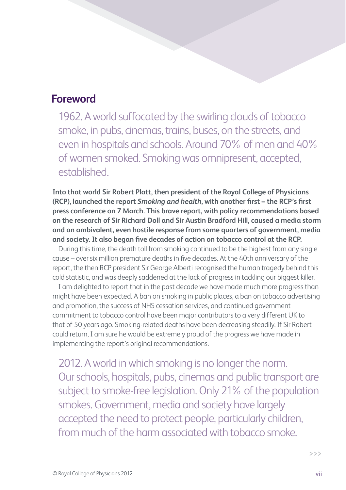### <span id="page-6-0"></span>**Foreword**

1962. A world suffocated by the swirling clouds of tobacco smoke, in pubs, cinemas, trains, buses, on the streets, and even in hospitals and schools. Around 70% of men and 40% of women smoked. Smoking was omnipresent, accepted, established.

**Into that world Sir Robert Platt, then president of the Royal College of Physicians**  (RCP), launched the report *Smoking and health*, with another first – the RCP's first **press conference on 7 March. This brave report, with policy recommendations based on the research of Sir Richard Doll and Sir Austin Bradford Hill, caused a media storm and an ambivalent, even hostile response from some quarters of government, media**  and society. It also began five decades of action on tobacco control at the RCP.

During this time, the death toll from smoking continued to be the highest from any single cause – over six million premature deaths in five decades. At the 40th anniversary of the report, the then RCP president Sir George Alberti recognised the human tragedy behind this cold statistic, and was deeply saddened at the lack of progress in tackling our biggest killer.

I am delighted to report that in the past decade we have made much more progress than might have been expected. A ban on smoking in public places, a ban on tobacco advertising and promotion, the success of NHS cessation services, and continued government commitment to tobacco control have been major contributors to a very different UK to that of 50 years ago. Smoking-related deaths have been decreasing steadily. If Sir Robert could return, I am sure he would be extremely proud of the progress we have made in implementing the report's original recommendations.

2012. A world in which smoking is no longer the norm. Our schools, hospitals, pubs, cinemas and public transport are subject to smoke-free legislation. Only 21% of the population smokes. Government, media and society have largely accepted the need to protect people, particularly children, from much of the harm associated with tobacco smoke.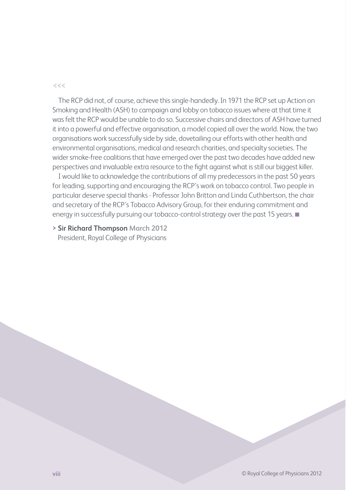#### $<<$

The RCP did not, of course, achieve this single-handedly. In 1971 the RCP set up Action on Smoking and Health (ASH) to campaign and lobby on tobacco issues where at that time it was felt the RCP would be unable to do so. Successive chairs and directors of ASH have turned it into a powerful and effective organisation, a model copied all over the world. Now, the two organisations work successfully side by side, dovetailing our efforts with other health and environmental organisations, medical and research charities, and specialty societies. The wider smoke-free coalitions that have emerged over the past two decades have added new perspectives and invaluable extra resource to the fight against what is still our biggest killer.

I would like to acknowledge the contributions of all my predecessors in the past 50 years for leading, supporting and encouraging the RCP's work on tobacco control. Two people in particular deserve special thanks - Professor John Britton and Linda Cuthbertson, the chair and secretary of the RCP's Tobacco Advisory Group, for their enduring commitment and energy in successfully pursuing our tobacco-control strategy over the past 15 years. ■

**> Sir Richard Thompson March 2012** President, Royal College of Physicians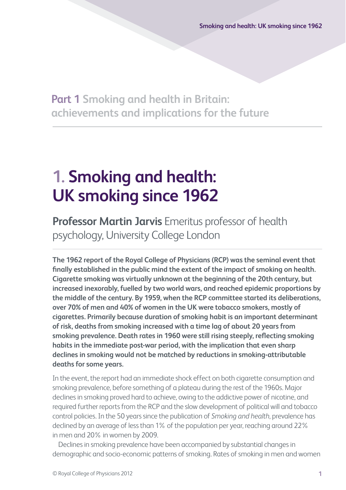<span id="page-8-0"></span>**Part 1 Smoking and health in Britain: achievements and implications for the future**

### **1. Smoking and health: UK smoking since 1962**

**Professor Martin Jarvis** Emeritus professor of health psychology, University College London

**The 1962 report of the Royal College of Physicians (RCP) was the seminal event that fi nally established in the public mind the extent of the impact of smoking on health. Cigarette smoking was virtually unknown at the beginning of the 20th century, but increased inexorably, fuelled by two world wars, and reached epidemic proportions by the middle of the century. By 1959, when the RCP committee started its deliberations, over 70% of men and 40% of women in the UK were tobacco smokers, mostly of cigarettes. Primarily because duration of smoking habit is an important determinant of risk, deaths from smoking increased with a time lag of about 20 years from**  smoking prevalence. Death rates in 1960 were still rising steeply, reflecting smoking **habits in the immediate post-war period, with the implication that even sharp declines in smoking would not be matched by reductions in smoking-attributable deaths for some years.**

In the event, the report had an immediate shock effect on both cigarette consumption and smoking prevalence, before something of a plateau during the rest of the 1960s. Major declines in smoking proved hard to achieve, owing to the addictive power of nicotine, and required further reports from the RCP and the slow development of political will and tobacco control policies. In the 50 years since the publication of *Smoking and health*, prevalence has declined by an average of less than 1% of the population per year, reaching around 22% in men and 20% in women by 2009.

Declines in smoking prevalence have been accompanied by substantial changes in demographic and socio-economic patterns of smoking. Rates of smoking in men and women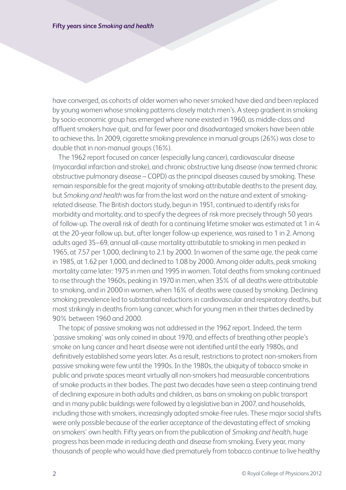have converged, as cohorts of older women who never smoked have died and been replaced by young women whose smoking patterns closely match men's. A steep gradient in smoking by socio-economic group has emerged where none existed in 1960, as middle-class and affluent smokers have quit, and far fewer poor and disadvantaged smokers have been able to achieve this. In 2009, cigarette smoking prevalence in manual groups (26%) was close to double that in non-manual groups (16%).

The 1962 report focused on cancer (especially lung cancer), cardiovascular disease (myocardial infarction and stroke), and chronic obstructive lung disease (now termed chronic obstructive pulmonary disease – COPD) as the principal diseases caused by smoking. These remain responsible for the great majority of smoking-attributable deaths to the present day, but *Smoking and health* was far from the last word on the nature and extent of smokingrelated disease. The British doctors study, begun in 1951, continued to identify risks for morbidity and mortality, and to specify the degrees of risk more precisely through 50 years of follow-up. The overall risk of death for a continuing lifetime smoker was estimated at 1 in 4 at the 20-year follow up, but, after longer follow-up experience, was raised to 1 in 2. Among adults aged 35–69, annual all-cause mortality attributable to smoking in men peaked in 1965, at 7.57 per 1,000, declining to 2.1 by 2000. In women of the same age, the peak came in 1985, at 1.62 per 1,000, and declined to 1.08 by 2000. Among older adults, peak smoking mortality came later: 1975 in men and 1995 in women. Total deaths from smoking continued to rise through the 1960s, peaking in 1970 in men, when 35% of all deaths were attributable to smoking, and in 2000 in women, when 16% of deaths were caused by smoking. Declining smoking prevalence led to substantial reductions in cardiovascular and respiratory deaths, but most strikingly in deaths from lung cancer, which for young men in their thirties declined by 90% between 1960 and 2000.

The topic of passive smoking was not addressed in the 1962 report. Indeed, the term 'passive smoking' was only coined in about 1970, and effects of breathing other people's smoke on lung cancer and heart disease were not identified until the early 1980s, and definitively established some years later. As a result, restrictions to protect non-smokers from passive smoking were few until the 1990s. In the 1980s, the ubiquity of tobacco smoke in public and private spaces meant virtually all non-smokers had measurable concentrations of smoke products in their bodies. The past two decades have seen a steep continuing trend of declining exposure in both adults and children, as bans on smoking on public transport and in many public buildings were followed by a legislative ban in 2007, and households, including those with smokers, increasingly adopted smoke-free rules. These major social shifts were only possible because of the earlier acceptance of the devastating effect of smoking on smokers' own health. Fifty years on from the publication of *Smoking and health*, huge progress has been made in reducing death and disease from smoking. Every year, many thousands of people who would have died prematurely from tobacco continue to live healthy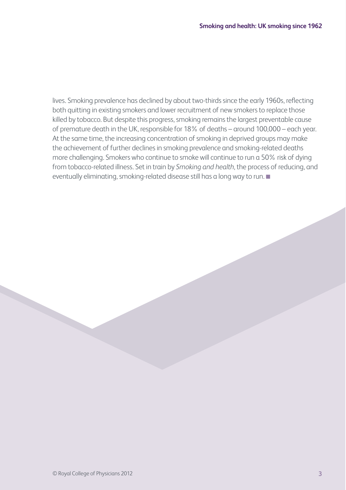lives. Smoking prevalence has declined by about two-thirds since the early 1960s, reflecting both quitting in existing smokers and lower recruitment of new smokers to replace those killed by tobacco. But despite this progress, smoking remains the largest preventable cause of premature death in the UK, responsible for 18% of deaths – around 100,000 – each year. At the same time, the increasing concentration of smoking in deprived groups may make the achievement of further declines in smoking prevalence and smoking-related deaths more challenging. Smokers who continue to smoke will continue to run a 50% risk of dying from tobacco-related illness. Set in train by *Smoking and health*, the process of reducing, and eventually eliminating, smoking-related disease still has a long way to run. ■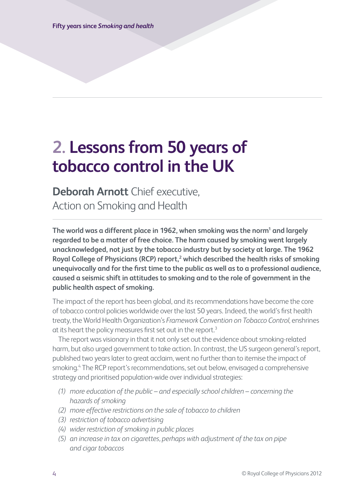## **2. Lessons from 50 years of tobacco control in the UK**

**Deborah Arnott** Chief executive, Action on Smoking and Health

The world was a different place in 1962, when smoking was the norm<sup>1</sup> and largely **regarded to be a matter of free choice. The harm caused by smoking went largely unacknowledged, not just by the tobacco industry but by society at large. The 1962**  Royal College of Physicians (RCP) report,<sup>2</sup> which described the health risks of smoking unequivocally and for the first time to the public as well as to a professional audience, **caused a seismic shift in attitudes to smoking and to the role of government in the public health aspect of smoking.**

The impact of the report has been global, and its recommendations have become the core of tobacco control policies worldwide over the last 50 years. Indeed, the world's first health treaty, the World Health Organization's *Framework Convention on Tobacco Control*, enshrines at its heart the policy measures first set out in the report.<sup>3</sup>

The report was visionary in that it not only set out the evidence about smoking-related harm, but also urged government to take action. In contrast, the US surgeon general's report, published two years later to great acclaim, went no further than to itemise the impact of smoking.4 The RCP report's recommendations, set out below, envisaged a comprehensive strategy and prioritised population-wide over individual strategies:

- *(1) more education of the public and especially school children concerning the hazards of smoking*
- *(2) more effective restrictions on the sale of tobacco to children*
- *(3) restriction of tobacco advertising*
- *(4) wider restriction of smoking in public places*
- *(5) an increase in tax on cigarettes, perhaps with adjustment of the tax on pipe and cigar tobaccos*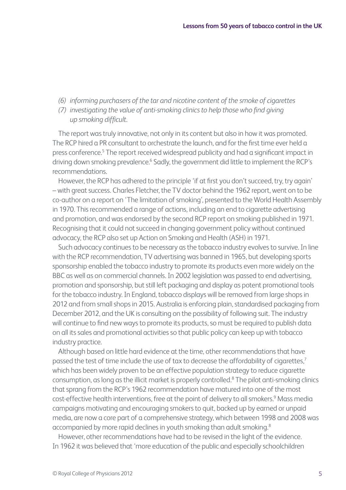- *(6) informing purchasers of the tar and nicotine content of the smoke of cigarettes*
- (7) investigating the value of anti-smoking clinics to help those who find giving *up smoking difficult.*

The report was truly innovative, not only in its content but also in how it was promoted. The RCP hired a PR consultant to orchestrate the launch, and for the first time ever held a press conference.<sup>5</sup> The report received widespread publicity and had a significant impact in driving down smoking prevalence.<sup>6</sup> Sadly, the government did little to implement the RCP's recommendations.

However, the RCP has adhered to the principle 'if at first you don't succeed, try, try again' – with great success. Charles Fletcher, the TV doctor behind the 1962 report, went on to be co-author on a report on 'The limitation of smoking', presented to the World Health Assembly in 1970. This recommended a range of actions, including an end to cigarette advertising and promotion, and was endorsed by the second RCP report on smoking published in 1971. Recognising that it could not succeed in changing government policy without continued advocacy, the RCP also set up Action on Smoking and Health (ASH) in 1971.

Such advocacy continues to be necessary as the tobacco industry evolves to survive. In line with the RCP recommendation, TV advertising was banned in 1965, but developing sports sponsorship enabled the tobacco industry to promote its products even more widely on the BBC as well as on commercial channels. In 2002 legislation was passed to end advertising, promotion and sponsorship, but still left packaging and display as potent promotional tools for the tobacco industry. In England, tobacco displays will be removed from large shops in 2012 and from small shops in 2015. Australia is enforcing plain, standardised packaging from December 2012, and the UK is consulting on the possibility of following suit. The industry will continue to find new ways to promote its products, so must be required to publish data on all its sales and promotional activities so that public policy can keep up with tobacco industry practice.

Although based on little hard evidence at the time, other recommendations that have passed the test of time include the use of tax to decrease the affordability of cigarettes,<sup>7</sup> which has been widely proven to be an effective population strategy to reduce cigarette consumption, as long as the illicit market is properly controlled.<sup>8</sup> The pilot anti-smoking clinics that sprang from the RCP's 1962 recommendation have matured into one of the most cost-effective health interventions, free at the point of delivery to all smokers.9 Mass media campaigns motivating and encouraging smokers to quit, backed up by earned or unpaid media, are now a core part of a comprehensive strategy, which between 1998 and 2008 was accompanied by more rapid declines in youth smoking than adult smoking.<sup>8</sup>

However, other recommendations have had to be revised in the light of the evidence. In 1962 it was believed that 'more education of the public and especially schoolchildren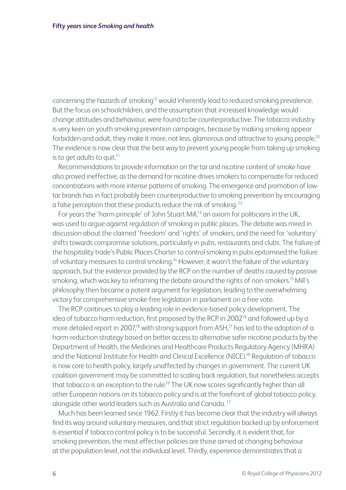concerning the hazards of smoking'2 would inherently lead to reduced smoking prevalence. But the focus on schoolchildren, and the assumption that increased knowledge would change attitudes and behaviour, were found to be counterproductive. The tobacco industry is very keen on youth smoking prevention campaigns, because by making smoking appear forbidden and adult, they make it more, not less, glamorous and attractive to young people.<sup>10</sup> The evidence is now clear that the best way to prevent young people from taking up smoking is to get adults to quit.<sup>11</sup>

Recommendations to provide information on the tar and nicotine content of smoke have also proved ineffective, as the demand for nicotine drives smokers to compensate for reduced concentrations with more intense patterns of smoking. The emergence and promotion of lowtar brands has in fact probably been counterproductive to smoking prevention by encouraging a false perception that these products reduce the risk of smoking. 12

For years the 'harm principle' of John Stuart Mill,<sup>13</sup> an axiom for politicians in the UK, was used to argue against regulation of smoking in public places. The debate was mired in discussion about the claimed 'freedom' and 'rights' of smokers, and the need for 'voluntary' shifts towards compromise solutions, particularly in pubs, restaurants and clubs. The failure of the hospitality trade's Public Places Charter to control smoking in pubs epitomised the failure of voluntary measures to control smoking.<sup>14</sup> However, it wasn't the failure of the voluntary approach, but the evidence provided by the RCP on the number of deaths caused by passive smoking, which was key to reframing the debate around the rights of non-smokers.<sup>15</sup> Mill's philosophy then became a potent argument for legislation, leading to the overwhelming victory for comprehensive smoke-free legislation in parliament on a free vote.

The RCP continues to play a leading role in evidence-based policy development. The idea of tobacco harm reduction, first proposed by the RCP in 2002<sup>16</sup> and followed up by a more detailed report in 2007,<sup>18</sup> with strong support from ASH,<sup>17</sup> has led to the adoption of a harm-reduction strategy based on better access to alternative safer nicotine products by the Department of Health, the Medicines and Healthcare Products Regulatory Agency (MHRA) and the National Institute for Health and Clinical Excellence (NICE).19 Regulation of tobacco is now core to health policy, largely unaffected by changes in government. The current UK coalition government may be committed to scaling back regulation, but nonetheless accepts that tobacco is an exception to the rule.<sup>19</sup> The UK now scores significantly higher than all other European nations on its tobacco policy and is at the forefront of global tobacco policy, alongside other world leaders such as Australia and Canada. 17

Much has been learned since 1962. Firstly it has become clear that the industry will always find its way around voluntary measures, and that strict regulation backed up by enforcement is essential if tobacco control policy is to be successful. Secondly, it is evident that, for smoking prevention, the most effective policies are those aimed at changing behaviour at the population level, not the individual level. Thirdly, experience demonstrates that a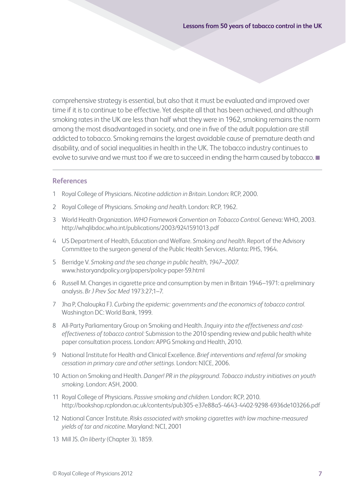comprehensive strategy is essential, but also that it must be evaluated and improved over time if it is to continue to be effective. Yet despite all that has been achieved, and although smoking rates in the UK are less than half what they were in 1962, smoking remains the norm among the most disadvantaged in society, and one in five of the adult population are still addicted to tobacco. Smoking remains the largest avoidable cause of premature death and disability, and of social inequalities in health in the UK. The tobacco industry continues to evolve to survive and we must too if we are to succeed in ending the harm caused by tobacco. ■

#### **References**

- 1 Royal College of Physicians. *Nicotine addiction in Britain*. London: RCP, 2000.
- 2 Royal College of Physicians. *Smoking and health*. London: RCP, 1962.
- 3 World Health Organization. *WHO Framework Convention on Tobacco Control*. Geneva: WHO, 2003. http://whqlibdoc.who.int/publications/2003/9241591013.pdf
- 4 US Department of Health, Education and Welfare. *Smoking and health*. Report of the Advisory Committee to the surgeon general of the Public Health Services. Atlanta: PHS, 1964.
- 5 Berridge V. *Smoking and the sea change in public health, 1947–2007*. www.historyandpolicy.org/papers/policy-paper-59.html
- 6 Russell M. Changes in cigarette price and consumption by men in Britain 1946–1971: a preliminary analysis. *Br J Prev Soc Med* 1973:27;1–7.
- 7 Jha P, Chaloupka FJ. *Curbing the epidemic: governments and the economics of tobacco control.* Washington DC: World Bank, 1999.
- 8 All-Party Parliamentary Group on Smoking and Health. *Inquiry into the effectiveness and costeffectiveness of tobacco control:* Submission to the 2010 spending review and public health white paper consultation process. London: APPG Smoking and Health, 2010.
- 9 National Institute for Health and Clinical Excellence. *Brief interventions and referral for smoking cessation in primary care and other settings.* London: NICE, 2006.
- 10 Action on Smoking and Health. *Danger! PR in the playground. Tobacco industry initiatives on youth smoking.* London: ASH, 2000.
- 11 Royal College of Physicians. *Passive smoking and children.* London: RCP, 2010. http://bookshop.rcplondon.ac.uk/contents/pub305-e37e88a5-4643-4402-9298-6936de103266.pdf
- 12 National Cancer Institute. *Risks associated with smoking cigarettes with low machine-measured yields of tar and nicotine*. Maryland: NCI, 2001
- 13 Mill JS. *On liberty* (Chapter 3). 1859.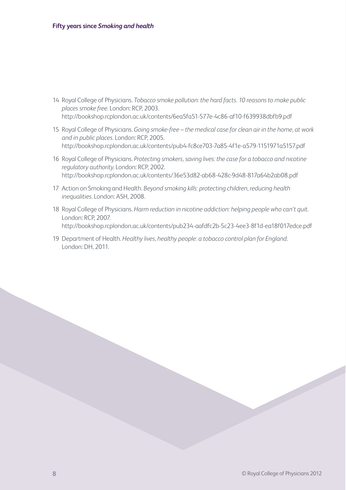- 14 Royal College of Physicians. *Tobacco smoke pollution: the hard facts. 10 reasons to make public places smoke free.* London: RCP, 2003. http://bookshop.rcplondon.ac.uk/contents/6ea5fa51-577e-4c86-af10-f639938dbfb9.pdf
- 15 Royal College of Physicians. *Going smoke-free the medical case for clean air in the home, at work and in public places.* London: RCP, 2005. http://bookshop.rcplondon.ac.uk/contents/pub4-fc8ce703-7a85-4f1e-a579-1151971a5157.pdf
- 16 Royal College of Physicians. *Protecting smokers, saving lives: the case for a tobacco and nicotine regulatory authority*. London: RCP, 2002. http://bookshop.rcplondon.ac.uk/contents/36e53d82-ab68-428c-9d48-817a64b2ab08.pdf
- 17 Action on Smoking and Health. *Beyond smoking kills: protecting children, reducing health inequalities*. London: ASH, 2008.
- 18 Royal College of Physicians. *Harm reduction in nicotine addiction: helping people who can't quit*. London: RCP, 2007. http://bookshop.rcplondon.ac.uk/contents/pub234-aafdfc2b-5c23-4ee3-8f1d-ea18f017edce.pdf
- 19 Department of Health. *Healthy lives, healthy people: a tobacco control plan for England*. London: DH, 2011.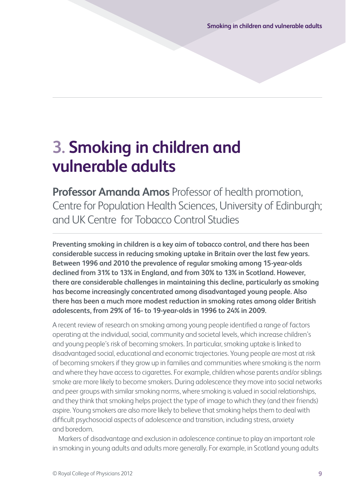## **3. Smoking in children and vulnerable adults**

**Professor Amanda Amos** Professor of health promotion, Centre for Population Health Sciences, University of Edinburgh; and UK Centre for Tobacco Control Studies

**Preventing smoking in children is a key aim of tobacco control, and there has been considerable success in reducing smoking uptake in Britain over the last few years. Between 1996 and 2010 the prevalence of regular smoking among 15-year-olds declined from 31% to 13% in England, and from 30% to 13% in Scotland. However, there are considerable challenges in maintaining this decline, particularly as smoking has become increasingly concentrated among disadvantaged young people. Also there has been a much more modest reduction in smoking rates among older British adolescents, from 29% of 16- to 19-year-olds in 1996 to 24% in 2009.**

A recent review of research on smoking among young people identified a range of factors operating at the individual, social, community and societal levels, which increase children's and young people's risk of becoming smokers. In particular, smoking uptake is linked to disadvantaged social, educational and economic trajectories. Young people are most at risk of becoming smokers if they grow up in families and communities where smoking is the norm and where they have access to cigarettes. For example, children whose parents and/or siblings smoke are more likely to become smokers. During adolescence they move into social networks and peer groups with similar smoking norms, where smoking is valued in social relationships, and they think that smoking helps project the type of image to which they (and their friends) aspire. Young smokers are also more likely to believe that smoking helps them to deal with difficult psychosocial aspects of adolescence and transition, including stress, anxiety and boredom.

Markers of disadvantage and exclusion in adolescence continue to play an important role in smoking in young adults and adults more generally. For example, in Scotland young adults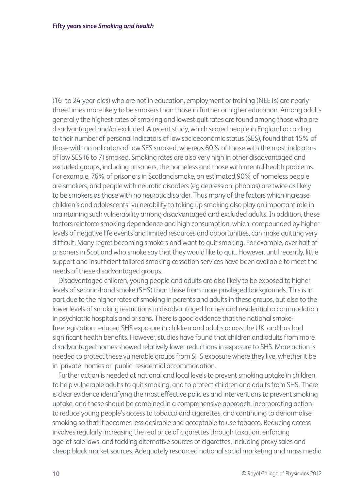(16- to 24-year-olds) who are not in education, employment or training (NEETs) are nearly three times more likely to be smokers than those in further or higher education. Among adults generally the highest rates of smoking and lowest quit rates are found among those who are disadvantaged and/or excluded. A recent study, which scored people in England according to their number of personal indicators of low socioeconomic status (SES), found that 15% of those with no indicators of low SES smoked, whereas 60% of those with the most indicators of low SES (6 to 7) smoked. Smoking rates are also very high in other disadvantaged and excluded groups, including prisoners, the homeless and those with mental health problems. For example, 76% of prisoners in Scotland smoke, an estimated 90% of homeless people are smokers, and people with neurotic disorders (eg depression, phobias) are twice as likely to be smokers as those with no neurotic disorder. Thus many of the factors which increase children's and adolescents' vulnerability to taking up smoking also play an important role in maintaining such vulnerability among disadvantaged and excluded adults. In addition, these factors reinforce smoking dependence and high consumption, which, compounded by higher levels of negative life events and limited resources and opportunities, can make quitting very difficult. Many regret becoming smokers and want to quit smoking. For example, over half of prisoners in Scotland who smoke say that they would like to quit. However, until recently, little support and insufficient tailored smoking cessation services have been available to meet the needs of these disadvantaged groups.

Disadvantaged children, young people and adults are also likely to be exposed to higher levels of second-hand smoke (SHS) than those from more privileged backgrounds. This is in part due to the higher rates of smoking in parents and adults in these groups, but also to the lower levels of smoking restrictions in disadvantaged homes and residential accommodation in psychiatric hospitals and prisons. There is good evidence that the national smokefree legislation reduced SHS exposure in children and adults across the UK, and has had significant health benefits. However, studies have found that children and adults from more disadvantaged homes showed relatively lower reductions in exposure to SHS. More action is needed to protect these vulnerable groups from SHS exposure where they live, whether it be in 'private' homes or 'public' residential accommodation.

Further action is needed at national and local levels to prevent smoking uptake in children, to help vulnerable adults to quit smoking, and to protect children and adults from SHS. There is clear evidence identifying the most effective policies and interventions to prevent smoking uptake, and these should be combined in a comprehensive approach, incorporating action to reduce young people's access to tobacco and cigarettes, and continuing to denormalise smoking so that it becomes less desirable and acceptable to use tobacco. Reducing access involves regularly increasing the real price of cigarettes through taxation, enforcing age-of-sale laws, and tackling alternative sources of cigarettes, including proxy sales and cheap black market sources. Adequately resourced national social marketing and mass media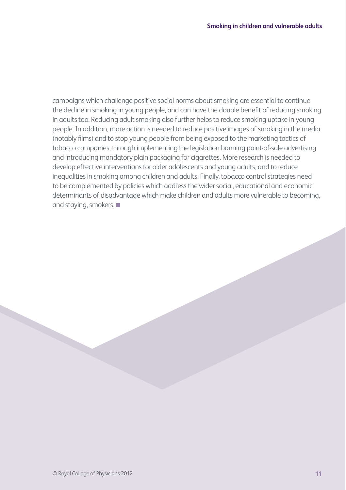campaigns which challenge positive social norms about smoking are essential to continue the decline in smoking in young people, and can have the double benefi t of reducing smoking in adults too. Reducing adult smoking also further helps to reduce smoking uptake in young people. In addition, more action is needed to reduce positive images of smoking in the media (notably films) and to stop young people from being exposed to the marketing tactics of tobacco companies, through implementing the legislation banning point-of-sale advertising and introducing mandatory plain packaging for cigarettes. More research is needed to develop effective interventions for older adolescents and young adults, and to reduce inequalities in smoking among children and adults. Finally, tobacco control strategies need to be complemented by policies which address the wider social, educational and economic determinants of disadvantage which make children and adults more vulnerable to becoming, and staying, smokers. ■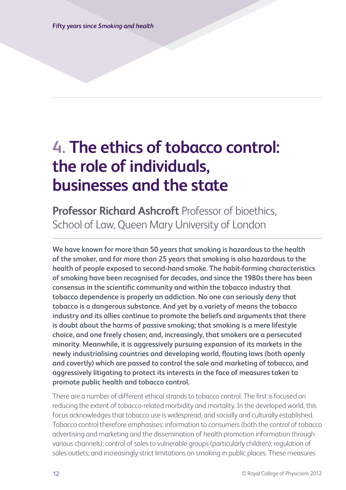# **4. The ethics of tobacco control: the role of individuals, businesses and the state**

**Professor Richard Ashcroft** Professor of bioethics, School of Law, Queen Mary University of London

**We have known for more than 50 years that smoking is hazardous to the health of the smoker, and for more than 25 years that smoking is also hazardous to the health of people exposed to second-hand smoke. The habit-forming characteristics of smoking have been recognised for decades, and since the 1980s there has been**  consensus in the scientific community and within the tobacco industry that **tobacco dependence is properly an addiction. No one can seriously deny that tobacco is a dangerous substance. And yet by a variety of means the tobacco industry and its allies continue to promote the beliefs and arguments that there is doubt about the harms of passive smoking; that smoking is a mere lifestyle choice, and one freely chosen; and, increasingly, that smokers are a persecuted minority. Meanwhile, it is aggressively pursuing expansion of its markets in the**  newly industrialising countries and developing world, flouting laws (both openly **and covertly) which are passed to control the sale and marketing of tobacco, and aggressively litigating to protect its interests in the face of measures taken to promote public health and tobacco control.**

There are a number of different ethical strands to tobacco control. The first is focused on reducing the extent of tobacco-related morbidity and mortality. In the developed world, this focus acknowledges that tobacco use is widespread, and socially and culturally established. Tobacco control therefore emphasises: information to consumers (both the control of tobacco advertising and marketing and the dissemination of health promotion information through various channels); control of sales to vulnerable groups (particularly children); regulation of sales outlets; and increasingly strict limitations on smoking in public places. These measures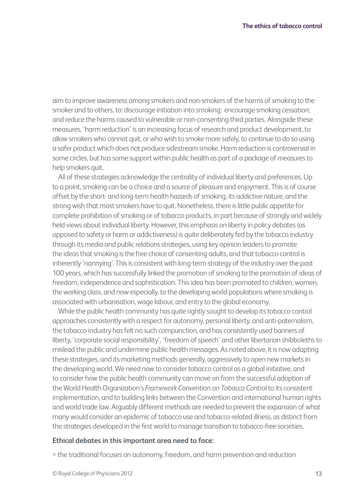aim to improve awareness among smokers and non-smokers of the harms of smoking to the smoker and to others, to: discourage initiation into smoking; encourage smoking cessation; and reduce the harms caused to vulnerable or non-consenting third parties. Alongside these measures, 'harm reduction' is an increasing focus of research and product development, to allow smokers who cannot quit, or who wish to smoke more safely, to continue to do so using a safer product which does not produce sidestream smoke. Harm reduction is controversial in some circles, but has some support within public health as part of a package of measures to help smokers quit.

All of these strategies acknowledge the centrality of individual liberty and preferences. Up to a point, smoking can be a choice and a source of pleasure and enjoyment. This is of course offset by the short- and long-term health hazards of smoking, its addictive nature, and the strong wish that most smokers have to quit. Nonetheless, there is little public appetite for complete prohibition of smoking or of tobacco products, in part because of strongly and widely held views about individual liberty. However, this emphasis on liberty in policy debates (as opposed to safety or harm or addictiveness) is quite deliberately fed by the tobacco industry through its media and public relations strategies, using key opinion leaders to promote the ideas that smoking is the free choice of consenting adults, and that tobacco control is inherently 'nannying'. This is consistent with long-term strategy of the industry over the past 100 years, which has successfully linked the promotion of smoking to the promotion of ideas of freedom, independence and sophistication. This idea has been promoted to children, women, the working class, and now especially, to the developing world populations where smoking is associated with urbanisation, wage labour, and entry to the global economy.

While the public health community has quite rightly sought to develop its tobacco control approaches consistently with a respect for autonomy, personal liberty, and anti-paternalism, the tobacco industry has felt no such compunction, and has consistently used banners of liberty, 'corporate social responsibility', 'freedom of speech' and other libertarian shibboleths to mislead the public and undermine public health messages. As noted above, it is now adapting these strategies, and its marketing methods generally, aggressively to open new markets in the developing world. We need now to consider tobacco control as a global initiative, and to consider how the public health community can move on from the successful adoption of the World Health Organization's *Framework Convention on Tobacco Control* to its consistent implementation, and to building links between the Convention and international human rights and world trade law. Arguably different methods are needed to prevent the expansion of what many would consider an epidemic of tobacco use and tobacco-related illness, as distinct from the strategies developed in the first world to manage transition to tobacco-free societies.

#### **Ethical debates in this important area need to face:**

> the traditional focuses on autonomy, freedom, and harm prevention and reduction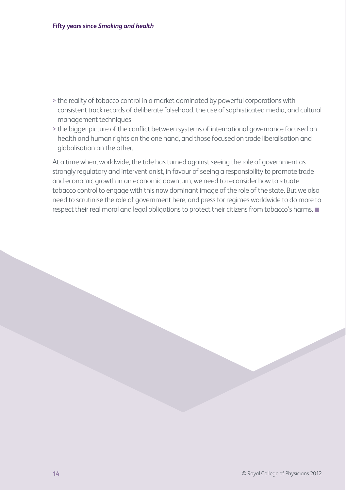- > the reality of tobacco control in a market dominated by powerful corporations with consistent track records of deliberate falsehood, the use of sophisticated media, and cultural management techniques
- > the bigger picture of the conflict between systems of international governance focused on health and human rights on the one hand, and those focused on trade liberalisation and globalisation on the other.

At a time when, worldwide, the tide has turned against seeing the role of government as strongly regulatory and interventionist, in favour of seeing a responsibility to promote trade and economic growth in an economic downturn, we need to reconsider how to situate tobacco control to engage with this now dominant image of the role of the state. But we also need to scrutinise the role of government here, and press for regimes worldwide to do more to respect their real moral and legal obligations to protect their citizens from tobacco's harms. ■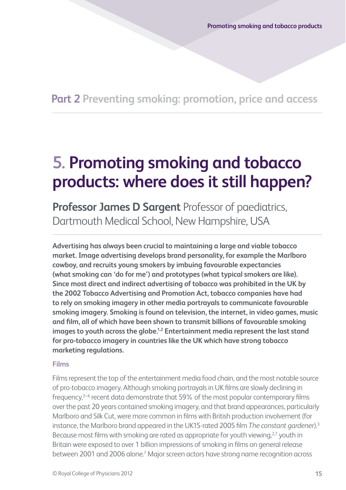<span id="page-22-0"></span>**Part 2 Preventing smoking: promotion, price and access**

### **5. Promoting smoking and tobacco products: where does it still happen?**

**Professor James D Sargent** Professor of paediatrics, Dartmouth Medical School, New Hampshire, USA

**Advertising has always been crucial to maintaining a large and viable tobacco market. Image advertising develops brand personality, for example the Marlboro cowboy, and recruits young smokers by imbuing favourable expectancies (what smoking can 'do for me') and prototypes (what typical smokers are like). Since most direct and indirect advertising of tobacco was prohibited in the UK by the 2002 Tobacco Advertising and Promotion Act, tobacco companies have had to rely on smoking imagery in other media portrayals to communicate favourable smoking imagery. Smoking is found on television, the internet, in video games, music and fi lm, all of which have been shown to transmit billions of favourable smoking images to youth across the globe.1,2 Entertainment media represent the last stand for pro-tobacco imagery in countries like the UK which have strong tobacco marketing regulations.**

#### **Films**

Films represent the top of the entertainment media food chain, and the most notable source of pro-tobacco imagery. Although smoking portrayals in UK films are slowly declining in frequency, $3-6$  recent data demonstrate that 59% of the most popular contemporary films over the past 20 years contained smoking imagery, and that brand appearances, particularly Marlboro and Silk Cut, were more common in films with British production involvement (for instance, the Marlboro brand appeared in the UK15-rated 2005 film *The constant gardener*).<sup>3</sup> Because most films with smoking are rated as appropriate for youth viewing, $27$  youth in Britain were exposed to over 1 billion impressions of smoking in films on general release between 2001 and 2006 alone.<sup>7</sup> Major screen actors have strong name recognition across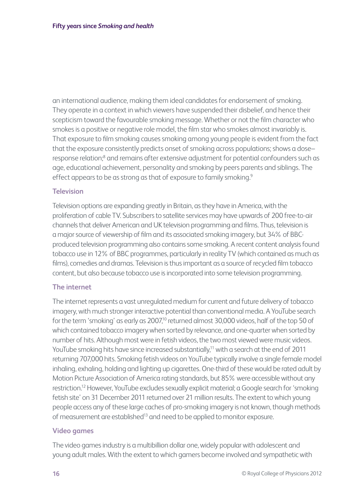an international audience, making them ideal candidates for endorsement of smoking. They operate in a context in which viewers have suspended their disbelief, and hence their scepticism toward the favourable smoking message. Whether or not the film character who smokes is a positive or negative role model, the film star who smokes almost invariably is. That exposure to film smoking causes smoking among young people is evident from the fact that the exposure consistently predicts onset of smoking across populations; shows a dose– response relation;<sup>8</sup> and remains after extensive adjustment for potential confounders such as age, educational achievement, personality and smoking by peers parents and siblings. The effect appears to be as strong as that of exposure to family smoking.<sup>9</sup>

#### **Television**

Television options are expanding greatly in Britain, as they have in America, with the proliferation of cable TV. Subscribers to satellite services may have upwards of 200 free-to-air channels that deliver American and UK television programming and films. Thus, television is a major source of viewership of film and its associated smoking imagery, but 34% of BBCproduced television programming also contains some smoking. A recent content analysis found tobacco use in 12% of BBC programmes, particularly in reality TV (which contained as much as films), comedies and dramas. Television is thus important as a source of recycled film tobacco content, but also because tobacco use is incorporated into some television programming.

#### **The internet**

The internet represents a vast unregulated medium for current and future delivery of tobacco imagery, with much stronger interactive potential than conventional media. A YouTube search for the term 'smoking' as early as 2007,<sup>10</sup> returned almost 30,000 videos, half of the top 50 of which contained tobacco imagery when sorted by relevance, and one-quarter when sorted by number of hits. Although most were in fetish videos, the two most viewed were music videos. YouTube smoking hits have since increased substantially,<sup>11</sup> with a search at the end of 2011 returning 707,000 hits. Smoking fetish videos on YouTube typically involve a single female model inhaling, exhaling, holding and lighting up cigarettes. One-third of these would be rated adult by Motion Picture Association of America rating standards, but 85% were accessible without any restriction.12 However, YouTube excludes sexually explicit material; a Google search for 'smoking fetish site' on 31 December 2011 returned over 21 million results. The extent to which young people access any of these large caches of pro-smoking imagery is not known, though methods of measurement are established<sup>13</sup> and need to be applied to monitor exposure.

#### **Video games**

The video games industry is a multibillion dollar one, widely popular with adolescent and young adult males. With the extent to which gamers become involved and sympathetic with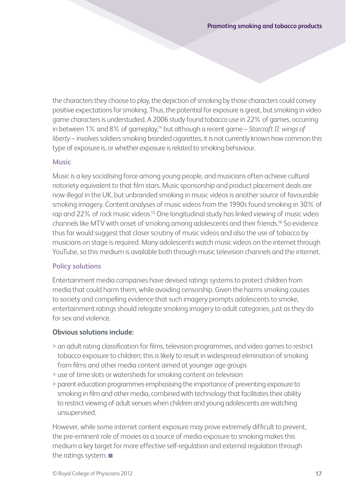the characters they choose to play, the depiction of smoking by those characters could convey positive expectations for smoking. Thus, the potential for exposure is great, but smoking in video game characters is understudied. A 2006 study found tobacco use in 22% of games, occurring in between 1% and 8% of gameplay,14 but although a recent game – *Starcraft II: wings of liberty* – involves soldiers smoking branded cigarettes, it is not currently known how common this type of exposure is, or whether exposure is related to smoking behaviour.

#### **Music**

Music is a key socialising force among young people, and musicians often achieve cultural notoriety equivalent to that film stars. Music sponsorship and product placement deals are now illegal in the UK, but unbranded smoking in music videos is another source of favourable smoking imagery. Content analyses of music videos from the 1990s found smoking in 30% of rap and 22% of rock music videos.15 One longitudinal study has linked viewing of music video channels like MTV with onset of smoking among adolescents and their friends.<sup>16</sup> So evidence thus far would suggest that closer scrutiny of music videos and also the use of tobacco by musicians on stage is required. Many adolescents watch music videos on the internet through YouTube, so this medium is available both through music television channels and the internet.

#### **Policy solutions**

Entertainment media companies have devised ratings systems to protect children from media that could harm them, while avoiding censorship. Given the harms smoking causes to society and compelling evidence that such imagery prompts adolescents to smoke, entertainment ratings should relegate smoking imagery to adult categories, just as they do for sex and violence.

#### **Obvious solutions include:**

- > an adult rating classification for films, television programmes, and video games to restrict tobacco exposure to children; this is likely to result in widespread elimination of smoking from films and other media content aimed at younger age groups
- > use of time slots or watersheds for smoking content on television
- > parent education programmes emphasising the importance of preventing exposure to smoking in film and other media, combined with technology that facilitates their ability to restrict viewing of adult venues when children and young adolescents are watching unsupervised.

However, while some internet content exposure may prove extremely difficult to prevent, the pre-eminent role of movies as a source of media exposure to smoking makes this medium a key target for more effective self-regulation and external regulation through the ratings system. ■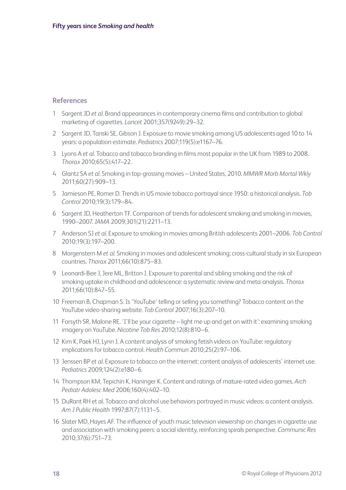#### **References**

- 1 Sargent JD *et al.* Brand appearances in contemporary cinema films and contribution to global marketing of cigarettes. *Lancet* 2001;357(9249):29–32.
- 2 Sargent JD, Tanski SE, Gibson J. Exposure to movie smoking among US adolescents aged 10 to 14 years: a population estimate. *Pediatrics* 2007;119(5):e1167–76.
- 3 Lyons A et al. Tobacco and tobacco branding in films most popular in the UK from 1989 to 2008. *Thorax* 2010;65(5):417–22.
- 4 Glantz SA *et al*. Smoking in top-grossing movies United States, 2010. *MMWR Morb Mortal Wkly* 2011;60(27):909–13.
- 5 Jamieson PE, Romer D. Trends in US movie tobacco portrayal since 1950: a historical analysis. *Tob Control* 2010;19(3):179–84.
- 6 Sargent JD, Heatherton TF. Comparison of trends for adolescent smoking and smoking in movies, 1990–2007. *JAMA* 2009;301(21):2211–13.
- 7 Anderson SJ *et al*. Exposure to smoking in movies among British adolescents 2001–2006. *Tob Control*  2010;19(3):197–200.
- 8 Morgenstern M *et al*. Smoking in movies and adolescent smoking: cross-cultural study in six European countries. *Thorax* 2011;66(10):875–83.
- 9 Leonardi-Bee J, Jere ML, Britton J. Exposure to parental and sibling smoking and the risk of smoking uptake in childhood and adolescence: a systematic review and meta-analysis. *Thorax* 2011;66(10):847–55.
- 10 Freeman B, Chapman S. Is 'YouTube' telling or selling you something? Tobacco content on the YouTube video-sharing website. *Tob Control* 2007;16(3):207–10.
- 11 Forsyth SR, Malone RE. 'I'll be your cigarette light me up and get on with it': examining smoking imagery on YouTube. *Nicotine Tob Res* 2010;12(8):810–6.
- 12 Kim K, Paek HJ, Lynn J. A content analysis of smoking fetish videos on YouTube: regulatory implications for tobacco control. *Health Commun* 2010;25(2):97–106.
- 13 Jenssen BP *et al*. Exposure to tobacco on the internet: content analysis of adolescents' internet use. *Pediatrics* 2009;124(2):e180–6.
- 14 Thompson KM, Tepichin K, Haninger K. Content and ratings of mature-rated video games. *Arch Pediatr Adolesc Med* 2006;160(4):402–10.
- 15 DuRant RH et al. Tobacco and alcohol use behaviors portrayed in music videos: a content analysis. *Am J Public Health* 1997;87(7):1131–5.
- 16 Slater MD, Hayes AF. The influence of youth music television viewership on changes in cigarette use and association with smoking peers: a social identity, reinforcing spirals perspective. *Communic Res* 2010;37(6):751–73.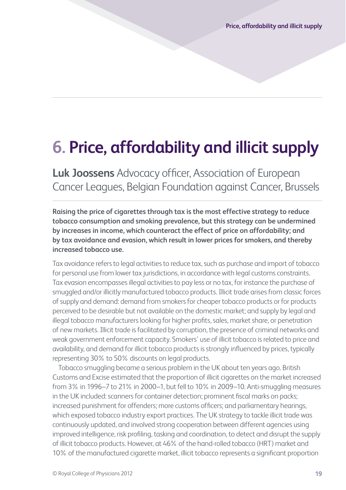# **6. Price, affordability and illicit supply**

**Luk Joossens** Advocacy officer. Association of European Cancer Leagues, Belgian Foundation against Cancer, Brussels

**Raising the price of cigarettes through tax is the most effective strategy to reduce tobacco consumption and smoking prevalence, but this strategy can be undermined by increases in income, which counteract the effect of price on affordability; and by tax avoidance and evasion, which result in lower prices for smokers, and thereby increased tobacco use.** 

Tax avoidance refers to legal activities to reduce tax, such as purchase and import of tobacco for personal use from lower tax jurisdictions, in accordance with legal customs constraints. Tax evasion encompasses illegal activities to pay less or no tax, for instance the purchase of smuggled and/or illicitly manufactured tobacco products. Illicit trade arises from classic forces of supply and demand: demand from smokers for cheaper tobacco products or for products perceived to be desirable but not available on the domestic market; and supply by legal and illegal tobacco manufacturers looking for higher profits, sales, market share, or penetration of new markets. Illicit trade is facilitated by corruption, the presence of criminal networks and weak government enforcement capacity. Smokers' use of illicit tobacco is related to price and availability, and demand for illicit tobacco products is strongly influenced by prices, typically representing 30% to 50% discounts on legal products.

Tobacco smuggling became a serious problem in the UK about ten years ago. British Customs and Excise estimated that the proportion of illicit cigarettes on the market increased from 3% in 1996–7 to 21% in 2000–1, but fell to 10% in 2009–10. Anti-smuggling measures in the UK included: scanners for container detection; prominent fiscal marks on packs; increased punishment for offenders; more customs officers; and parliamentary hearings, which exposed tobacco industry export practices. The UK strategy to tackle illicit trade was continuously updated, and involved strong cooperation between different agencies using improved intelligence, risk profiling, tasking and coordination, to detect and disrupt the supply of illicit tobacco products. However, at 46% of the hand-rolled tobacco (HRT) market and 10% of the manufactured cigarette market, illicit tobacco represents a significant proportion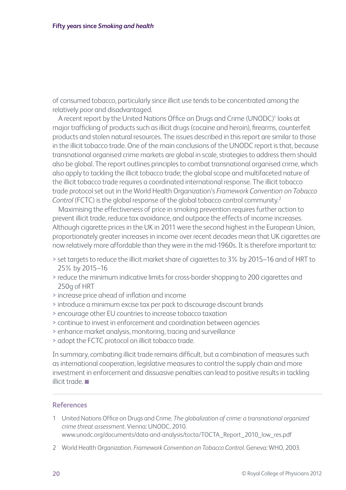of consumed tobacco, particularly since illicit use tends to be concentrated among the relatively poor and disadvantaged.

A recent report by the United Nations Office on Drugs and Crime (UNODC)<sup>1</sup> looks at major trafficking of products such as illicit drugs (cocaine and heroin), firearms, counterfeit products and stolen natural resources. The issues described in this report are similar to those in the illicit tobacco trade. One of the main conclusions of the UNODC report is that, because transnational organised crime markets are global in scale, strategies to address them should also be global. The report outlines principles to combat transnational organised crime, which also apply to tackling the illicit tobacco trade; the global scope and multifaceted nature of the illicit tobacco trade requires a coordinated international response. The illicit tobacco trade protocol set out in the World Health Organization's *Framework Convention on Tobacco Control* (FCTC) is the global response of the global tobacco control community.2

Maximising the effectiveness of price in smoking prevention requires further action to prevent illicit trade, reduce tax avoidance, and outpace the effects of income increases. Although cigarette prices in the UK in 2011 were the second highest in the European Union, proportionately greater increases in income over recent decades mean that UK cigarettes are now relatively more affordable than they were in the mid-1960s. It is therefore important to:

- > set targets to reduce the illicit market share of cigarettes to 3% by 2015–16 and of HRT to 25% by 2015–16
- > reduce the minimum indicative limits for cross-border shopping to 200 cigarettes and 250g of HRT
- $>$  increase price ahead of inflation and income
- > introduce a minimum excise tax per pack to discourage discount brands
- > encourage other EU countries to increase tobacco taxation
- > continue to invest in enforcement and coordination between agencies
- > enhance market analysis, monitoring, tracing and surveillance
- > adopt the FCTC protocol on illicit tobacco trade.

In summary, combating illicit trade remains difficult, but a combination of measures such as international cooperation, legislative measures to control the supply chain and more investment in enforcement and dissuasive penalties can lead to positive results in tackling illicit trade. ■

#### **References**

- 1 United Nations Office on Drugs and Crime. *The globalization of crime: a transnational organized crime threat assessment*. Vienna: UNODC, 2010. www.unodc.org/documents/data-and-analysis/tocta/TOCTA\_Report\_2010\_low\_res.pdf
- 2 World Health Organization. *Framework Convention on Tobacco Control*. Geneva: WHO, 2003.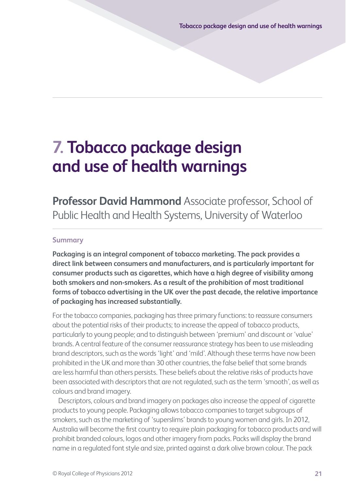### **7. Tobacco package design and use of health warnings**

**Professor David Hammond** Associate professor, School of Public Health and Health Systems, University of Waterloo

#### **Summary**

**Packaging is an integral component of tobacco marketing. The pack provides a direct link between consumers and manufacturers, and is particularly important for consumer products such as cigarettes, which have a high degree of visibility among both smokers and non-smokers. As a result of the prohibition of most traditional forms of tobacco advertising in the UK over the past decade, the relative importance of packaging has increased substantially.** 

For the tobacco companies, packaging has three primary functions: to reassure consumers about the potential risks of their products; to increase the appeal of tobacco products, particularly to young people; and to distinguish between 'premium' and discount or 'value' brands. A central feature of the consumer reassurance strategy has been to use misleading brand descriptors, such as the words 'light' and 'mild'. Although these terms have now been prohibited in the UK and more than 30 other countries, the false belief that some brands are less harmful than others persists. These beliefs about the relative risks of products have been associated with descriptors that are not regulated, such as the term 'smooth', as well as colours and brand imagery.

Descriptors, colours and brand imagery on packages also increase the appeal of cigarette products to young people. Packaging allows tobacco companies to target subgroups of smokers, such as the marketing of 'superslims' brands to young women and girls. In 2012, Australia will become the first country to require plain packaging for tobacco products and will prohibit branded colours, logos and other imagery from packs. Packs will display the brand name in a regulated font style and size, printed against a dark olive brown colour. The pack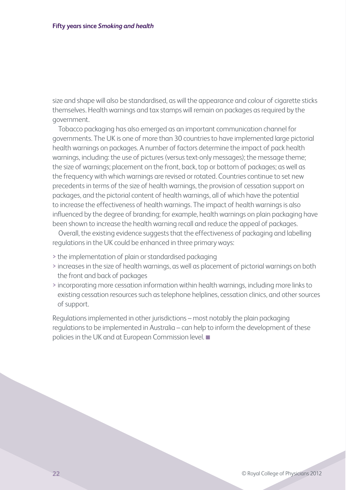size and shape will also be standardised, as will the appearance and colour of cigarette sticks themselves. Health warnings and tax stamps will remain on packages as required by the government.

Tobacco packaging has also emerged as an important communication channel for governments. The UK is one of more than 30 countries to have implemented large pictorial health warnings on packages. A number of factors determine the impact of pack health warnings, including: the use of pictures (versus text-only messages); the message theme; the size of warnings; placement on the front, back, top or bottom of packages; as well as the frequency with which warnings are revised or rotated. Countries continue to set new precedents in terms of the size of health warnings, the provision of cessation support on packages, and the pictorial content of health warnings, all of which have the potential to increase the effectiveness of health warnings. The impact of health warnings is also influenced by the degree of branding; for example, health warnings on plain packaging have been shown to increase the health warning recall and reduce the appeal of packages.

Overall, the existing evidence suggests that the effectiveness of packaging and labelling regulations in the UK could be enhanced in three primary ways:

- > the implementation of plain or standardised packaging
- > increases in the size of health warnings, as well as placement of pictorial warnings on both the front and back of packages
- > incorporating more cessation information within health warnings, including more links to existing cessation resources such as telephone helplines, cessation clinics, and other sources of support.

Regulations implemented in other jurisdictions – most notably the plain packaging regulations to be implemented in Australia – can help to inform the development of these policies in the UK and at European Commission level. ■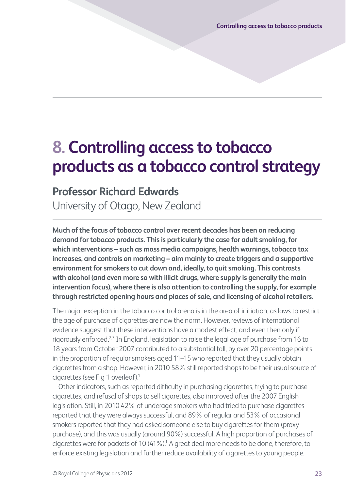### **8. Controlling access to tobacco products as a tobacco control strategy**

### **Professor Richard Edwards**

University of Otago, New Zealand

**Much of the focus of tobacco control over recent decades has been on reducing demand for tobacco products. This is particularly the case for adult smoking, for which interventions – such as mass media campaigns, health warnings, tobacco tax increases, and controls on marketing – aim mainly to create triggers and a supportive environment for smokers to cut down and, ideally, to quit smoking. This contrasts with alcohol (and even more so with illicit drugs, where supply is generally the main intervention focus), where there is also attention to controlling the supply, for example through restricted opening hours and places of sale, and licensing of alcohol retailers.** 

The major exception in the tobacco control arena is in the area of initiation, as laws to restrict the age of purchase of cigarettes are now the norm. However, reviews of international evidence suggest that these interventions have a modest effect, and even then only if rigorously enforced.<sup>2,3</sup> In England, legislation to raise the legal age of purchase from 16 to 18 years from October 2007 contributed to a substantial fall, by over 20 percentage points, in the proportion of regular smokers aged 11–15 who reported that they usually obtain cigarettes from a shop. However, in 2010 58% still reported shops to be their usual source of cigarettes (see Fig 1 overleaf).1

Other indicators, such as reported difficulty in purchasing cigarettes, trying to purchase cigarettes, and refusal of shops to sell cigarettes, also improved after the 2007 English legislation. Still, in 2010 42% of underage smokers who had tried to purchase cigarettes reported that they were always successful, and 89% of regular and 53% of occasional smokers reported that they had asked someone else to buy cigarettes for them (proxy purchase), and this was usually (around 90%) successful. A high proportion of purchases of cigarettes were for packets of 10 (41%).<sup>1</sup> A great deal more needs to be done, therefore, to enforce existing legislation and further reduce availability of cigarettes to young people.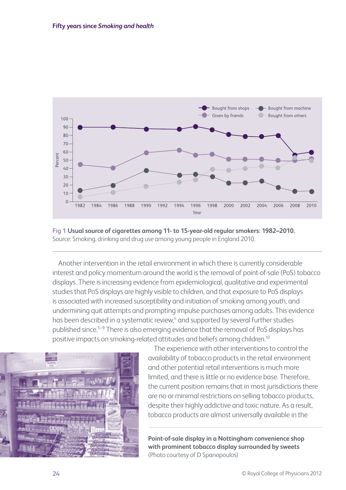

**Fig 1 Usual source of cigarettes among 11- to 15-year-old regular smokers: 1982–2010.**  Source: Smoking, drinking and drug use among young people in England 2010.

Another intervention in the retail environment in which there is currently considerable interest and policy momentum around the world is the removal of point-of-sale (PoS) tobacco displays. There is increasing evidence from epidemiological, qualitative and experimental studies that PoS displays are highly visible to children, and that exposure to PoS displays is associated with increased susceptibility and initiation of smoking among youth, and undermining quit attempts and prompting impulse purchases among adults. This evidence has been described in a systematic review,<sup>4</sup> and supported by several further studies published since.<sup>5-9</sup> There is also emerging evidence that the removal of PoS displays has positive impacts on smoking-related attitudes and beliefs among children.10



The experience with other interventions to control the availability of tobacco products in the retail environment and other potential retail interventions is much more limited, and there is little or no evidence base. Therefore, the current position remains that in most jurisdictions there are no or minimal restrictions on selling tobacco products, despite their highly addictive and toxic nature. As a result, tobacco products are almost universally available in the

**Point-of-sale display in a Nottingham convenience shop with prominent tobacco display surrounded by sweets**  (Photo courtesy of D Spanopoulos)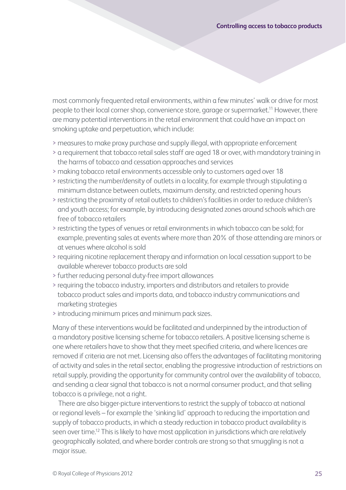most commonly frequented retail environments, within a few minutes' walk or drive for most people to their local corner shop, convenience store, garage or supermarket.<sup>11</sup> However, there are many potential interventions in the retail environment that could have an impact on smoking uptake and perpetuation, which include:

- > measures to make proxy purchase and supply illegal, with appropriate enforcement
- > a requirement that tobacco retail sales staff are aged 18 or over, with mandatory training in the harms of tobacco and cessation approaches and services
- > making tobacco retail environments accessible only to customers aged over 18
- > restricting the number/density of outlets in a locality, for example through stipulating a minimum distance between outlets, maximum density, and restricted opening hours
- > restricting the proximity of retail outlets to children's facilities in order to reduce children's and youth access; for example, by introducing designated zones around schools which are free of tobacco retailers
- > restricting the types of venues or retail environments in which tobacco can be sold; for example, preventing sales at events where more than 20% of those attending are minors or at venues where alcohol is sold
- > requiring nicotine replacement therapy and information on local cessation support to be available wherever tobacco products are sold
- > further reducing personal duty-free import allowances
- > requiring the tobacco industry, importers and distributors and retailers to provide tobacco product sales and imports data, and tobacco industry communications and marketing strategies
- > introducing minimum prices and minimum pack sizes.

Many of these interventions would be facilitated and underpinned by the introduction of a mandatory positive licensing scheme for tobacco retailers. A positive licensing scheme is one where retailers have to show that they meet specified criteria, and where licences are removed if criteria are not met. Licensing also offers the advantages of facilitating monitoring of activity and sales in the retail sector, enabling the progressive introduction of restrictions on retail supply, providing the opportunity for community control over the availability of tobacco, and sending a clear signal that tobacco is not a normal consumer product, and that selling tobacco is a privilege, not a right.

There are also bigger-picture interventions to restrict the supply of tobacco at national or regional levels – for example the 'sinking lid' approach to reducing the importation and supply of tobacco products, in which a steady reduction in tobacco product availability is seen over time.<sup>12</sup> This is likely to have most application in jurisdictions which are relatively geographically isolated, and where border controls are strong so that smuggling is not a major issue.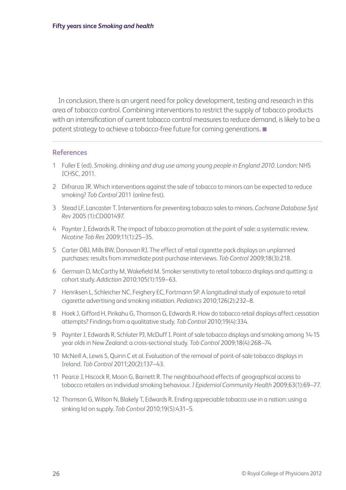In conclusion, there is an urgent need for policy development, testing and research in this area of tobacco control. Combining interventions to restrict the supply of tobacco products with an intensification of current tobacco control measures to reduce demand, is likely to be a potent strategy to achieve a tobacco-free future for coming generations. ■

#### **References**

- 1 Fuller E (ed). *Smoking, drinking and drug use among young people in England 2010*. London: NHS ICHSC, 2011.
- 2 Difranza JR. Which interventions against the sale of tobacco to minors can be expected to reduce smoking? *Tob Control* 2011 (online first).
- 3 Stead LF, Lancaster T. Interventions for preventing tobacco sales to minors. *Cochrane Database Syst Rev* 2005 (1):CD001497.
- 4 Paynter J, Edwards R. The impact of tobacco promotion at the point of sale: a systematic review. *Nicotine Tob Res* 2009;11(1):25–35.
- 5 Carter OBJ, Mills BW, Donovan RJ. The effect of retail cigarette pack displays on unplanned purchases: results from immediate post-purchase interviews. *Tob Control* 2009;18(3):218.
- 6 Germain D, McCarthy M, Wakefield M. Smoker sensitivity to retail tobacco displays and quitting: a cohort study. *Addiction* 2010;105(1):159–63.
- 7 Henriksen L, Schleicher NC, Feighery EC, Fortmann SP. A longitudinal study of exposure to retail cigarette advertising and smoking initiation. *Pediatrics* 2010;126(2):232–8.
- 8 Hoek J, Gifford H, Pirikahu G, Thomson G, Edwards R. How do tobacco retail displays affect cessation attempts? Findings from a qualitative study. *Tob Control* 2010;19(4):334.
- 9 Paynter J, Edwards R, Schluter PJ, McDuff I. Point of sale tobacco displays and smoking among 14-15 year olds in New Zealand: a cross-sectional study. *Tob Control* 2009;18(4):268–74.
- 10 McNeill A, Lewis S, Quinn C et al. Evaluation of the removal of point-of-sale tobacco displays in Ireland. *Tob Control* 2011;20(2):137–43.
- 11 Pearce J, Hiscock R, Moon G, Barnett R. The neighbourhood effects of geographical access to tobacco retailers on individual smoking behaviour. *J Epidemiol Community Health* 2009;63(1):69–77.
- 12 Thomson G, Wilson N, Blakely T, Edwards R. Ending appreciable tobacco use in a nation: using a sinking lid on supply. *Tob Control* 2010;19(5):431–5.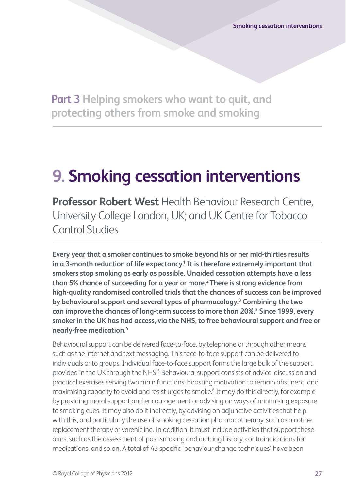<span id="page-34-0"></span>**Part 3 Helping smokers who want to quit, and protecting others from smoke and smoking**

### **9. Smoking cessation interventions**

**Professor Robert West** Health Behaviour Research Centre, University College London, UK; and UK Centre for Tobacco Control Studies

**Every year that a smoker continues to smoke beyond his or her mid-thirties results**  in a 3-month reduction of life expectancy.<sup>1</sup> It is therefore extremely important that **smokers stop smoking as early as possible. Unaided cessation attempts have a less than 5% chance of succeeding for a year or more.2 There is strong evidence from high-quality randomised controlled trials that the chances of success can be improved by behavioural support and several types of pharmacology.3 Combining the two can improve the chances of long-term success to more than 20%.3 Since 1999, every smoker in the UK has had access, via the NHS, to free behavioural support and free or nearly-free medication.4**

Behavioural support can be delivered face-to-face, by telephone or through other means such as the internet and text messaging. This face-to-face support can be delivered to individuals or to groups. Individual face-to-face support forms the large bulk of the support provided in the UK through the NHS.<sup>5</sup> Behavioural support consists of advice, discussion and practical exercises serving two main functions: boosting motivation to remain abstinent, and maximising capacity to avoid and resist urges to smoke.6 It may do this directly, for example by providing moral support and encouragement or advising on ways of minimising exposure to smoking cues. It may also do it indirectly, by advising on adjunctive activities that help with this, and particularly the use of smoking cessation pharmacotherapy, such as nicotine replacement therapy or varenicline. In addition, it must include activities that support these aims, such as the assessment of past smoking and quitting history, contraindications for medications, and so on. A total of 43 specific 'behaviour change techniques' have been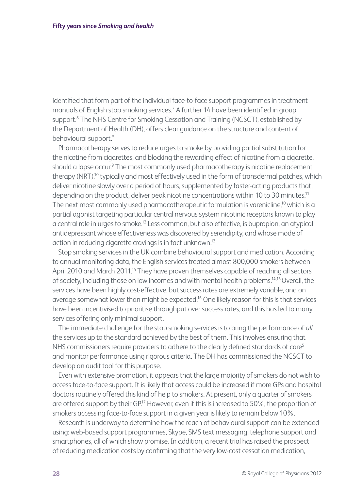identified that form part of the individual face-to-face support programmes in treatment manuals of English stop smoking services.7 A further 14 have been identifi ed in group support.8 The NHS Centre for Smoking Cessation and Training (NCSCT), established by the Department of Health (DH), offers clear guidance on the structure and content of behavioural support.5

Pharmacotherapy serves to reduce urges to smoke by providing partial substitution for the nicotine from cigarettes, and blocking the rewarding effect of nicotine from a cigarette, should a lapse occur.<sup>9</sup> The most commonly used pharmacotherapy is nicotine replacement therapy (NRT),<sup>10</sup> typically and most effectively used in the form of transdermal patches, which deliver nicotine slowly over a period of hours, supplemented by faster-acting products that, depending on the product, deliver peak nicotine concentrations within 10 to 30 minutes.<sup>11</sup> The next most commonly used pharmacotherapeutic formulation is varenicline,<sup>10</sup> which is a partial agonist targeting particular central nervous system nicotinic receptors known to play a central role in urges to smoke.12 Less common, but also effective, is bupropion, an atypical antidepressant whose effectiveness was discovered by serendipity, and whose mode of action in reducing cigarette cravings is in fact unknown.13

Stop smoking services in the UK combine behavioural support and medication. According to annual monitoring data, the English services treated almost 800,000 smokers between April 2010 and March 2011.<sup>14</sup> They have proven themselves capable of reaching all sectors of society, including those on low incomes and with mental health problems.14,15 Overall, the services have been highly cost-effective, but success rates are extremely variable, and on average somewhat lower than might be expected.16 One likely reason for this is that services have been incentivised to prioritise throughput over success rates, and this has led to many services offering only minimal support.

The immediate challenge for the stop smoking services is to bring the performance of *all* the services up to the standard achieved by the best of them. This involves ensuring that NHS commissioners require providers to adhere to the clearly defined standards of care<sup>5</sup> and monitor performance using rigorous criteria. The DH has commissioned the NCSCT to develop an audit tool for this purpose.

Even with extensive promotion, it appears that the large majority of smokers do not wish to access face-to-face support. It is likely that access could be increased if more GPs and hospital doctors routinely offered this kind of help to smokers. At present, only a quarter of smokers are offered support by their GP.<sup>17</sup> However, even if this is increased to 50%, the proportion of smokers accessing face-to-face support in a given year is likely to remain below 10%.

Research is underway to determine how the reach of behavioural support can be extended using: web-based support programmes, Skype, SMS text messaging, telephone support and smartphones, all of which show promise. In addition, a recent trial has raised the prospect of reducing medication costs by confirming that the very low-cost cessation medication,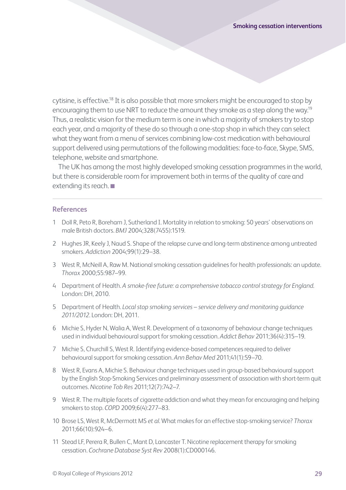cytisine, is effective.18 It is also possible that more smokers might be encouraged to stop by encouraging them to use NRT to reduce the amount they smoke as a step along the way.<sup>19</sup> Thus, a realistic vision for the medium term is one in which a majority of smokers try to stop each year, and a majority of these do so through a one-stop shop in which they can select what they want from a menu of services combining low-cost medication with behavioural support delivered using permutations of the following modalities: face-to-face, Skype, SMS, telephone, website and smartphone.

The UK has among the most highly developed smoking cessation programmes in the world, but there is considerable room for improvement both in terms of the quality of care and extending its reach. ■

#### **References**

- 1 Doll R, Peto R, Boreham J, Sutherland I. Mortality in relation to smoking: 50 years' observations on male British doctors. *BMJ* 2004;328(7455):1519.
- 2 Hughes JR, Keely J, Naud S. Shape of the relapse curve and long-term abstinence among untreated smokers. *Addiction* 2004;99(1):29–38.
- 3 West R, McNeill A, Raw M. National smoking cessation guidelines for health professionals: an update. *Thorax* 2000;55:987–99.
- 4 Department of Health. *A smoke-free future: a comprehensive tobacco control strategy for England*. London: DH, 2010.
- 5 Department of Health. *Local stop smoking services service delivery and monitoring guidance 2011/2012*. London: DH, 2011.
- 6 Michie S, Hyder N, Walia A, West R. Development of a taxonomy of behaviour change techniques used in individual behavioural support for smoking cessation. *Addict Behav* 2011;36(4):315–19.
- 7 Michie S, Churchill S, West R. Identifying evidence-based competences required to deliver behavioural support for smoking cessation. *Ann Behav Med* 2011;41(1):59–70.
- 8 West R, Evans A, Michie S. Behaviour change techniques used in group-based behavioural support by the English Stop-Smoking Services and preliminary assessment of association with short-term quit outcomes. *Nicotine Tob Res* 2011;12(7):742–7.
- 9 West R. The multiple facets of cigarette addiction and what they mean for encouraging and helping smokers to stop. *COPD* 2009;6(4):277–83.
- 10 Brose LS, West R, McDermott MS *et al*. What makes for an effective stop-smoking service? *Thorax*  2011;66(10):924–6.
- 11 Stead LF, Perera R, Bullen C, Mant D, Lancaster T. Nicotine replacement therapy for smoking cessation. *Cochrane Database Syst Rev* 2008(1):CD000146.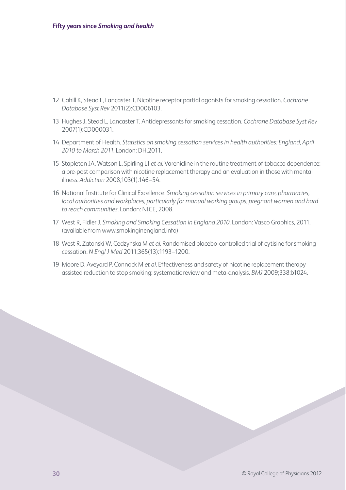- 12 Cahill K, Stead L, Lancaster T. Nicotine receptor partial agonists for smoking cessation. *Cochrane Database Syst Rev* 2011(2):CD006103.
- 13 Hughes J, Stead L, Lancaster T. Antidepressants for smoking cessation. *Cochrane Database Syst Rev* 2007(1):CD000031.
- 14 Department of Health. *Statistics on smoking cessation services in health authorities: England, April 2010 to March 2011*. London: DH,2011.
- 15 Stapleton JA, Watson L, Spirling LI *et al*. Varenicline in the routine treatment of tobacco dependence: a pre-post comparison with nicotine replacement therapy and an evaluation in those with mental illness. *Addiction* 2008;103(1):146–54.
- 16 National Institute for Clinical Excellence. *Smoking cessation services in primary care, pharmacies, local authorities and workplaces, particularly for manual working groups, pregnant women and hard to reach communities*. London: NICE, 2008.
- 17 West R, Fidler J. *Smoking and Smoking Cessation in England 2010*. London: Vasco Graphics, 2011. (available from www.smokinginengland.info)
- 18 West R, Zatonski W, Cedzynska M *et al*. Randomised placebo-controlled trial of cytisine for smoking cessation. *N Engl J Med* 2011;365(13):1193–1200.
- 19 Moore D, Aveyard P, Connock M *et al*. Effectiveness and safety of nicotine replacement therapy assisted reduction to stop smoking: systematic review and meta-analysis. *BMJ* 2009;338:b1024.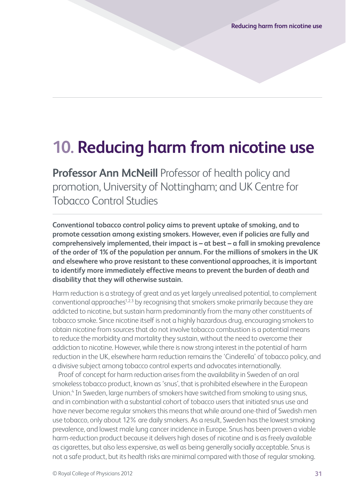### **10. Reducing harm from nicotine use**

**Professor Ann McNeill** Professor of health policy and promotion, University of Nottingham; and UK Centre for Tobacco Control Studies

**Conventional tobacco control policy aims to prevent uptake of smoking, and to promote cessation among existing smokers. However, even if policies are fully and comprehensively implemented, their impact is – at best – a fall in smoking prevalence of the order of 1% of the population per annum. For the millions of smokers in the UK and elsewhere who prove resistant to these conventional approaches, it is important to identify more immediately effective means to prevent the burden of death and disability that they will otherwise sustain.**

Harm reduction is a strategy of great and as yet largely unrealised potential, to complement conventional approaches<sup>1,2,3</sup> by recognising that smokers smoke primarily because they are addicted to nicotine, but sustain harm predominantly from the many other constituents of tobacco smoke. Since nicotine itself is not a highly hazardous drug, encouraging smokers to obtain nicotine from sources that do not involve tobacco combustion is a potential means to reduce the morbidity and mortality they sustain, without the need to overcome their addiction to nicotine. However, while there is now strong interest in the potential of harm reduction in the UK, elsewhere harm reduction remains the 'Cinderella' of tobacco policy, and a divisive subject among tobacco control experts and advocates internationally.

Proof of concept for harm reduction arises from the availability in Sweden of an oral smokeless tobacco product, known as 'snus', that is prohibited elsewhere in the European Union.4 In Sweden, large numbers of smokers have switched from smoking to using snus, and in combination with a substantial cohort of tobacco users that initiated snus use and have never become regular smokers this means that while around one-third of Swedish men use tobacco, only about 12% are daily smokers. As a result, Sweden has the lowest smoking prevalence, and lowest male lung cancer incidence in Europe. Snus has been proven a viable harm-reduction product because it delivers high doses of nicotine and is as freely available as cigarettes, but also less expensive, as well as being generally socially acceptable. Snus is not a safe product, but its health risks are minimal compared with those of regular smoking.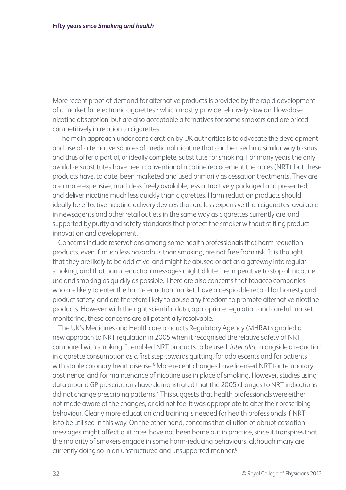More recent proof of demand for alternative products is provided by the rapid development of a market for electronic cigarettes,<sup>5</sup> which mostly provide relatively slow and low-dose nicotine absorption, but are also acceptable alternatives for some smokers and are priced competitively in relation to cigarettes.

The main approach under consideration by UK authorities is to advocate the development and use of alternative sources of medicinal nicotine that can be used in a similar way to snus, and thus offer a partial, or ideally complete, substitute for smoking. For many years the only available substitutes have been conventional nicotine replacement therapies (NRT), but these products have, to date, been marketed and used primarily as cessation treatments. They are also more expensive, much less freely available, less attractively packaged and presented, and deliver nicotine much less quickly than cigarettes. Harm reduction products should ideally be effective nicotine delivery devices that are less expensive than cigarettes, available in newsagents and other retail outlets in the same way as cigarettes currently are, and supported by purity and safety standards that protect the smoker without stifling product innovation and development.

Concerns include reservations among some health professionals that harm reduction products, even if much less hazardous than smoking, are not free from risk. It is thought that they are likely to be addictive, and might be abused or act as a gateway into regular smoking; and that harm reduction messages might dilute the imperative to stop all nicotine use and smoking as quickly as possible. There are also concerns that tobacco companies, who are likely to enter the harm-reduction market, have a despicable record for honesty and product safety, and are therefore likely to abuse any freedom to promote alternative nicotine products. However, with the right scientific data, appropriate regulation and careful market monitoring, these concerns are all potentially resolvable.

The UK's Medicines and Healthcare products Regulatory Agency (MHRA) signalled a new approach to NRT regulation in 2005 when it recognised the relative safety of NRT compared with smoking. It enabled NRT products to be used, *inter alia*, alongside a reduction in cigarette consumption as a first step towards quitting, for adolescents and for patients with stable coronary heart disease.<sup>6</sup> More recent changes have licensed NRT for temporary abstinence, and for maintenance of nicotine use in place of smoking. However, studies using data around GP prescriptions have demonstrated that the 2005 changes to NRT indications did not change prescribing patterns.7 This suggests that health professionals were either not made aware of the changes, or did not feel it was appropriate to alter their prescribing behaviour. Clearly more education and training is needed for health professionals if NRT is to be utilised in this way. On the other hand, concerns that dilution of abrupt cessation messages might affect quit rates have not been borne out in practice, since it transpires that the majority of smokers engage in some harm-reducing behaviours, although many are currently doing so in an unstructured and unsupported manner.<sup>8</sup>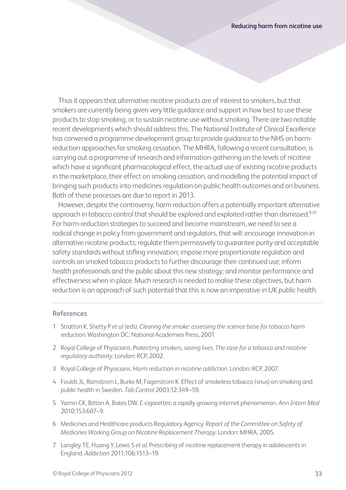Thus it appears that alternative nicotine products are of interest to smokers, but that smokers are currently being given very little guidance and support in how best to use these products to stop smoking, or to sustain nicotine use without smoking. There are two notable recent developments which should address this. The National Institute of Clinical Excellence has convened a programme development group to provide guidance to the NHS on harmreduction approaches for smoking cessation. The MHRA, following a recent consultation, is carrying out a programme of research and information-gathering on the levels of nicotine which have a significant pharmacological effect, the actual use of existing nicotine products in the marketplace, their effect on smoking cessation, and modelling the potential impact of bringing such products into medicines regulation on public health outcomes and on business. Both of these processes are due to report in 2013.

However, despite the controversy, harm reduction offers a potentially important alternative approach in tobacco control that should be explored and exploited rather than dismissed.<sup>9,10</sup> For harm-reduction strategies to succeed and become mainstream, we need to see a radical change in policy from government and regulators, that will: encourage innovation in alternative nicotine products; regulate them permissively to guarantee purity and acceptable safety standards without stifling innovation; impose more proportionate regulation and controls on smoked tobacco products to further discourage their continued use; inform health professionals and the public about this new strategy; and monitor performance and effectiveness when in place. Much research is needed to realise these objectives, but harm reduction is an approach of such potential that this is now an imperative in UK public health.

#### **References**

- 1 Stratton K, Shetty P *et al* (eds). *Clearing the smoke: assessing the science base for tobacco harm reduction*. Washington DC: National Academies Press, 2001
- 2 Royal College of Physicians. *Protecting smokers, saving lives. The case for a tobacco and nicotine regulatory authority*. London: RCP, 2002.
- 3 Royal College of Physicians. *Harm reduction in nicotine addiction*. London: RCP, 2007.
- 4 Foulds JL, Ramstrom L, Burke M, Fagerstrom K. Effect of smokeless tobacco (snus) on smoking and public health in Sweden. *Tob Control* 2003;12:349–59.
- 5 Yamin CK, Bitton A, Bates DW. E-cigarettes: a rapidly growing internet phenomenon. *Ann Intern Med* 2010;153:607–9.
- 6 Medicines and Healthcare products Regulatory Agency. *Report of the Committee on Safety of Medicines Working Group on Nicotine Replacement Therapy*. London: MHRA, 2005.
- 7 Langley TE, Huang Y, Lewis S *et al*. Prescribing of nicotine replacement therapy in adolescents in England. *Addiction* 2011;106:1513–19.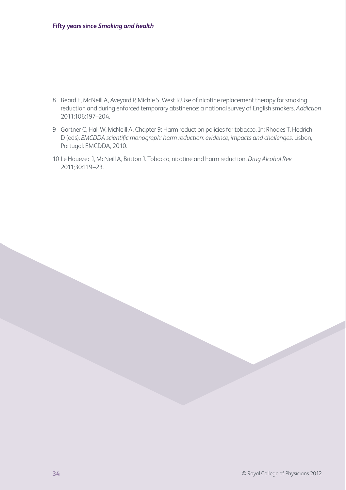- 8 Beard E, McNeill A, Aveyard P, Michie S, West R.Use of nicotine replacement therapy for smoking reduction and during enforced temporary abstinence: a national survey of English smokers. *Addiction* 2011;106:197–204.
- 9 Gartner C, Hall W, McNeill A. Chapter 9: Harm reduction policies for tobacco. In: Rhodes T, Hedrich D (eds). *EMCDDA scientific monograph: harm reduction: evidence, impacts and challenges*. Lisbon, Portugal: EMCDDA, 2010.
- 10 Le Houezec J, McNeill A, Britton J. Tobacco, nicotine and harm reduction. *Drug Alcohol Rev* 2011;30:119–23.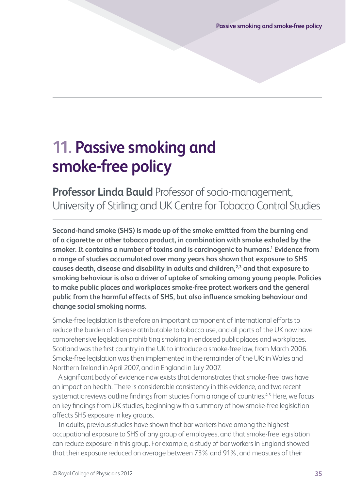### **11. Passive smoking and smoke-free policy**

**Professor Linda Bauld** Professor of socio-management, University of Stirling; and UK Centre for Tobacco Control Studies

**Second-hand smoke (SHS) is made up of the smoke emitted from the burning end of a cigarette or other tobacco product, in combination with smoke exhaled by the smoker. It contains a number of toxins and is carcinogenic to humans.1 Evidence from a range of studies accumulated over many years has shown that exposure to SHS causes death, disease and disability in adults and children,2,3 and that exposure to smoking behaviour is also a driver of uptake of smoking among young people. Policies to make public places and workplaces smoke-free protect workers and the general**  public from the harmful effects of SHS, but also influence smoking behaviour and **change social smoking norms.**

Smoke-free legislation is therefore an important component of international efforts to reduce the burden of disease attributable to tobacco use, and all parts of the UK now have comprehensive legislation prohibiting smoking in enclosed public places and workplaces. Scotland was the first country in the UK to introduce a smoke-free law, from March 2006. Smoke-free legislation was then implemented in the remainder of the UK: in Wales and Northern Ireland in April 2007, and in England in July 2007.

A significant body of evidence now exists that demonstrates that smoke-free laws have an impact on health. There is considerable consistency in this evidence, and two recent systematic reviews outline findings from studies from a range of countries.<sup>4,5</sup> Here, we focus on key findings from UK studies, beginning with a summary of how smoke-free legislation affects SHS exposure in key groups.

In adults, previous studies have shown that bar workers have among the highest occupational exposure to SHS of any group of employees, and that smoke-free legislation can reduce exposure in this group. For example, a study of bar workers in England showed that their exposure reduced on average between 73% and 91%, and measures of their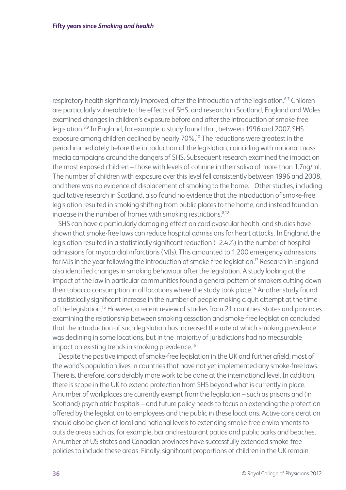respiratory health significantly improved, after the introduction of the legislation.<sup>6,7</sup> Children are particularly vulnerable to the effects of SHS, and research in Scotland, England and Wales examined changes in children's exposure before and after the introduction of smoke-free legislation.<sup>8,9</sup> In England, for example, a study found that, between 1996 and 2007, SHS exposure among children declined by nearly 70%.10 The reductions were greatest in the period immediately before the introduction of the legislation, coinciding with national mass media campaigns around the dangers of SHS. Subsequent research examined the impact on the most exposed children – those with levels of cotinine in their saliva of more than 1.7ng/ml. The number of children with exposure over this level fell consistently between 1996 and 2008, and there was no evidence of displacement of smoking to the home.11 Other studies, including qualitative research in Scotland, also found no evidence that the introduction of smoke-free legislation resulted in smoking shifting from public places to the home, and instead found an increase in the number of homes with smoking restrictions.<sup>8,12</sup>

SHS can have a particularly damaging effect on cardiovascular health, and studies have shown that smoke-free laws can reduce hospital admissions for heart attacks. In England, the legislation resulted in a statistically significant reduction (-2.4%) in the number of hospital admissions for myocardial infarctions (MIs). This amounted to 1,200 emergency admissions for MIs in the year following the introduction of smoke-free legislation.13 Research in England also identified changes in smoking behaviour after the legislation. A study looking at the impact of the law in particular communities found a general pattern of smokers cutting down their tobacco consumption in all locations where the study took place.<sup>14</sup> Another study found a statistically significant increase in the number of people making a quit attempt at the time of the legislation.<sup>15</sup> However, a recent review of studies from 21 countries, states and provinces examining the relationship between smoking cessation and smoke-free legislation concluded that the introduction of such legislation has increased the rate at which smoking prevalence was declining in some locations, but in the majority of jurisdictions had no measurable impact on existing trends in smoking prevalence.<sup>16</sup>

Despite the positive impact of smoke-free legislation in the UK and further afield, most of the world's population lives in countries that have not yet implemented any smoke-free laws. There is, therefore, considerably more work to be done at the international level. In addition, there is scope in the UK to extend protection from SHS beyond what is currently in place. A number of workplaces are currently exempt from the legislation – such as prisons and (in Scotland) psychiatric hospitals – and future policy needs to focus on extending the protection offered by the legislation to employees and the public in these locations. Active consideration should also be given at local and national levels to extending smoke-free environments to outside areas such as, for example, bar and restaurant patios and public parks and beaches. A number of US states and Canadian provinces have successfully extended smoke-free policies to include these areas. Finally, significant proportions of children in the UK remain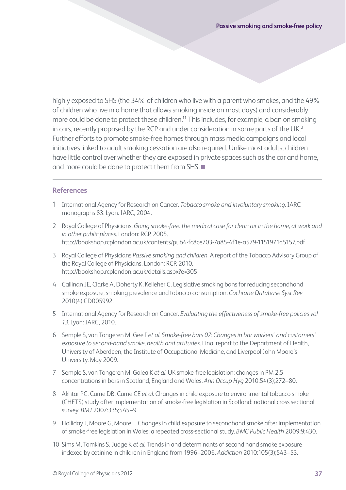highly exposed to SHS (the 34% of children who live with a parent who smokes, and the 49% of children who live in a home that allows smoking inside on most days) and considerably more could be done to protect these children.<sup>11</sup> This includes, for example, a ban on smoking in cars, recently proposed by the RCP and under consideration in some parts of the UK.<sup>3</sup> Further efforts to promote smoke-free homes through mass media campaigns and local initiatives linked to adult smoking cessation are also required. Unlike most adults, children have little control over whether they are exposed in private spaces such as the car and home, and more could be done to protect them from SHS. ■

#### **References**

- 1 International Agency for Research on Cancer. *Tobacco smoke and involuntary smoking*. IARC monographs 83. Lyon: IARC, 2004.
- 2 Royal College of Physicians. *Going smoke-free: the medical case for clean air in the home, at work and in other public places*. London: RCP, 2005. http://bookshop.rcplondon.ac.uk/contents/pub4-fc8ce703-7a85-4f1e-a579-1151971a5157.pdf
- 3 Royal College of Physicians *Passive smoking and children.* A report of the Tobacco Advisory Group of the Royal College of Physicians. London: RCP, 2010. http://bookshop.rcplondon.ac.uk/details.aspx?e=305
- 4 Callinan JE, Clarke A, Doherty K, Kelleher C. Legislative smoking bans for reducing secondhand smoke exposure, smoking prevalence and tobacco consumption. *Cochrane Database Syst Rev* 2010(4):CD005992.
- 5 International Agency for Research on Cancer. *Evaluating the effectiveness of smoke-free policies vol 13*. Lyon: IARC, 2010.
- 6 Semple S, van Tongeren M, Gee I *et al*. *Smoke-free bars 07: Changes in bar workers' and customers' exposure to second-hand smoke, health and attitudes*. Final report to the Department of Health, University of Aberdeen, the Institute of Occupational Medicine, and Liverpool John Moore's University. May 2009.
- 7 Semple S, van Tongeren M, Galea K *et al*. UK smoke-free legislation: changes in PM 2.5 concentrations in bars in Scotland, England and Wales. *Ann Occup Hyg* 2010:54(3);272–80.
- 8 Akhtar PC, Currie DB, Currie CE *et al*. Changes in child exposure to environmental tobacco smoke (CHETS) study after implementation of smoke-free legislation in Scotland: national cross sectional survey. *BMJ* 2007:335;545–9.
- 9 Holliday J, Moore G, Moore L. Changes in child exposure to secondhand smoke after implementation of smoke-free legislation in Wales: a repeated cross-sectional study. *BMC Public Health* 2009:9;430.
- 10 Sims M, Tomkins S, Judge K *et al*. Trends in and determinants of second hand smoke exposure indexed by cotinine in children in England from 1996–2006. *Addiction* 2010:105(3);543–53.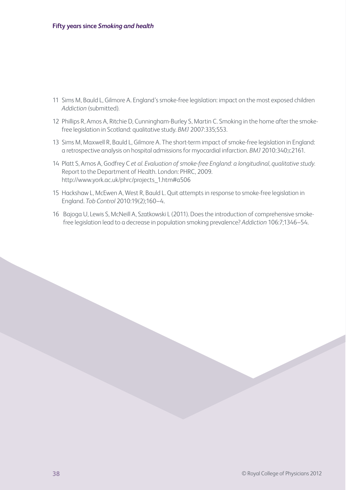- 11 Sims M, Bauld L, Gilmore A. England's smoke-free legislation: impact on the most exposed children *Addiction* (submitted)*.*
- 12 Phillips R, Amos A, Ritchie D, Cunningham-Burley S, Martin C. Smoking in the home after the smokefree legislation in Scotland: qualitative study. *BMJ* 2007:335;553.
- 13 Sims M, Maxwell R, Bauld L, Gilmore A. The short-term impact of smoke-free legislation in England: a retrospective analysis on hospital admissions for myocardial infarction. *BMJ* 2010:340;c2161.
- 14 Platt S, Amos A, Godfrey C *et al. Evaluation of smoke-free England: a longitudinal, qualitative study.* Report to the Department of Health. London: PHRC, 2009. http://www.york.ac.uk/phrc/projects\_1.htm#a506
- 15 Hackshaw L, McEwen A, West R, Bauld L. Quit attempts in response to smoke-free legislation in England. *Tob Control* 2010:19(2);160–4.
- 16 Bajoga U, Lewis S, McNeill A, Szatkowski L (2011). Does the introduction of comprehensive smokefree legislation lead to a decrease in population smoking prevalence? *Addiction* 106:7;1346–54.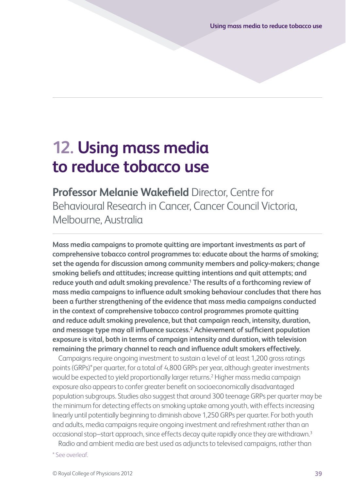### **12. Using mass media to reduce tobacco use**

**Professor Melanie Wakefield Director, Centre for** Behavioural Research in Cancer, Cancer Council Victoria, Melbourne, Australia

**Mass media campaigns to promote quitting are important investments as part of comprehensive tobacco control programmes to: educate about the harms of smoking; set the agenda for discussion among community members and policy-makers; change smoking beliefs and attitudes; increase quitting intentions and quit attempts; and reduce youth and adult smoking prevalence.1 The results of a forthcoming review of**  mass media campaigns to influence adult smoking behaviour concludes that there has **been a further strengthening of the evidence that mass media campaigns conducted in the context of comprehensive tobacco control programmes promote quitting and reduce adult smoking prevalence, but that campaign reach, intensity, duration,**  and message type may all influence success.<sup>2</sup> Achievement of sufficient population **exposure is vital, both in terms of campaign intensity and duration, with television**  remaining the primary channel to reach and influence adult smokers effectively.

Campaigns require ongoing investment to sustain a level of at least 1,200 gross ratings points (GRPs)\*per quarter, for a total of 4,800 GRPs per year, although greater investments would be expected to yield proportionally larger returns.<sup>2</sup> Higher mass media campaign exposure also appears to confer greater benefit on socioeconomically disadvantaged population subgroups. Studies also suggest that around 300 teenage GRPs per quarter may be the minimum for detecting effects on smoking uptake among youth, with effects increasing linearly until potentially beginning to diminish above 1,250 GRPs per quarter. For both youth and adults, media campaigns require ongoing investment and refreshment rather than an occasional stop–start approach, since effects decay quite rapidly once they are withdrawn.3

Radio and ambient media are best used as adjuncts to televised campaigns, rather than \* See overleaf.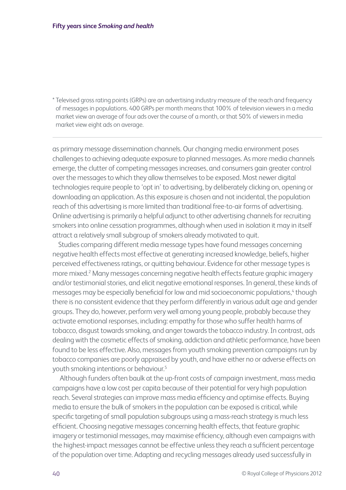\* Televised gross rating points (GRPs) are an advertising industry measure of the reach and frequency of messages in populations. 400 GRPs per month means that 100% of television viewers in a media market view an average of four ads over the course of a month, or that 50% of viewers in media market view eight ads on average.

as primary message dissemination channels. Our changing media environment poses challenges to achieving adequate exposure to planned messages. As more media channels emerge, the clutter of competing messages increases, and consumers gain greater control over the messages to which they allow themselves to be exposed. Most newer digital technologies require people to 'opt in' to advertising, by deliberately clicking on, opening or downloading an application. As this exposure is chosen and not incidental, the population reach of this advertising is more limited than traditional free-to-air forms of advertising. Online advertising is primarily a helpful adjunct to other advertising channels for recruiting smokers into online cessation programmes, although when used in isolation it may in itself attract a relatively small subgroup of smokers already motivated to quit.

Studies comparing different media message types have found messages concerning negative health effects most effective at generating increased knowledge, beliefs, higher perceived effectiveness ratings, or quitting behaviour. Evidence for other message types is more mixed.2 Many messages concerning negative health effects feature graphic imagery and/or testimonial stories, and elicit negative emotional responses. In general, these kinds of messages may be especially beneficial for low and mid socioeconomic populations,<sup>4</sup> though there is no consistent evidence that they perform differently in various adult age and gender groups. They do, however, perform very well among young people, probably because they activate emotional responses, including: empathy for those who suffer health harms of tobacco, disgust towards smoking, and anger towards the tobacco industry. In contrast, ads dealing with the cosmetic effects of smoking, addiction and athletic performance, have been found to be less effective. Also, messages from youth smoking prevention campaigns run by tobacco companies are poorly appraised by youth, and have either no or adverse effects on youth smoking intentions or behaviour.5

 Although funders often baulk at the up-front costs of campaign investment, mass media campaigns have a low cost per capita because of their potential for very high population reach. Several strategies can improve mass media efficiency and optimise effects. Buying media to ensure the bulk of smokers in the population can be exposed is critical, while specific targeting of small population subgroups using a mass-reach strategy is much less efficient. Choosing negative messages concerning health effects, that feature graphic imagery or testimonial messages, may maximise efficiency, although even campaigns with the highest-impact messages cannot be effective unless they reach a sufficient percentage of the population over time. Adapting and recycling messages already used successfully in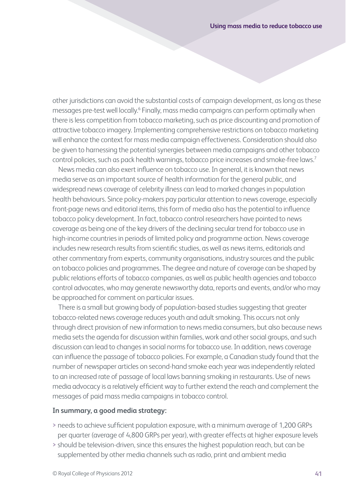other jurisdictions can avoid the substantial costs of campaign development, as long as these messages pre-test well locally.<sup>6</sup> Finally, mass media campaigns can perform optimally when there is less competition from tobacco marketing, such as price discounting and promotion of attractive tobacco imagery. Implementing comprehensive restrictions on tobacco marketing will enhance the context for mass media campaign effectiveness. Consideration should also be given to harnessing the potential synergies between media campaigns and other tobacco control policies, such as pack health warnings, tobacco price increases and smoke-free laws.7

News media can also exert influence on tobacco use. In general, it is known that news media serve as an important source of health information for the general public, and widespread news coverage of celebrity illness can lead to marked changes in population health behaviours. Since policy-makers pay particular attention to news coverage, especially front-page news and editorial items, this form of media also has the potential to influence tobacco policy development. In fact, tobacco control researchers have pointed to news coverage as being one of the key drivers of the declining secular trend for tobacco use in high-income countries in periods of limited policy and programme action. News coverage includes new research results from scientific studies, as well as news items, editorials and other commentary from experts, community organisations, industry sources and the public on tobacco policies and programmes. The degree and nature of coverage can be shaped by public relations efforts of tobacco companies, as well as public health agencies and tobacco control advocates, who may generate newsworthy data, reports and events, and/or who may be approached for comment on particular issues.

There is a small but growing body of population-based studies suggesting that greater tobacco-related news coverage reduces youth and adult smoking. This occurs not only through direct provision of new information to news media consumers, but also because news media sets the agenda for discussion within families, work and other social groups, and such discussion can lead to changes in social norms for tobacco use. In addition, news coverage can influence the passage of tobacco policies. For example, a Canadian study found that the number of newspaper articles on second-hand smoke each year was independently related to an increased rate of passage of local laws banning smoking in restaurants. Use of news media advocacy is a relatively efficient way to further extend the reach and complement the messages of paid mass media campaigns in tobacco control.

#### **In summary, a good media strategy:**

- > needs to achieve sufficient population exposure, with a minimum average of 1,200 GRPs per quarter (average of 4,800 GRPs per year), with greater effects at higher exposure levels
- > should be television-driven, since this ensures the highest population reach, but can be supplemented by other media channels such as radio, print and ambient media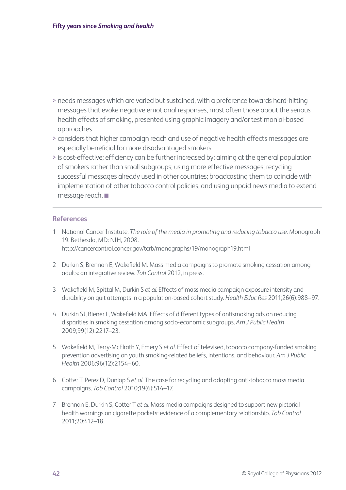- > needs messages which are varied but sustained, with a preference towards hard-hitting messages that evoke negative emotional responses, most often those about the serious health effects of smoking, presented using graphic imagery and/or testimonial-based approaches
- > considers that higher campaign reach and use of negative health effects messages are especially beneficial for more disadvantaged smokers
- $>$  is cost-effective; efficiency can be further increased by: aiming at the general population of smokers rather than small subgroups; using more effective messages; recycling successful messages already used in other countries; broadcasting them to coincide with implementation of other tobacco control policies, and using unpaid news media to extend message reach. ■

#### **References**

- 1 National Cancer Institute. *The role of the media in promoting and reducing tobacco use.* Monograph 19. Bethesda, MD: NIH, 2008. http://cancercontrol.cancer.gov/tcrb/monographs/19/monograph19.html
- 2 Durkin S, Brennan E, Wakefield M. Mass media campaigns to promote smoking cessation among adults: an integrative review. *Tob Control* 2012, in press.
- 3 Wakefield M, Spittal M, Durkin S et al. Effects of mass media campaign exposure intensity and durability on quit attempts in a population-based cohort study. *Health Educ Res* 2011;26(6):988–97.
- 4 Durkin SJ, Biener L, Wakefield MA. Effects of different types of antismoking ads on reducing disparities in smoking cessation among socio-economic subgroups. *Am J Public Health* 2009;99(12):2217–23.
- 5 Wakefield M, Terry-McElrath Y, Emery S et al. Effect of televised, tobacco company-funded smoking prevention advertising on youth smoking-related beliefs, intentions, and behaviour. *Am J Public Health* 2006;96(12)**:**2154–60.
- 6 Cotter T, Perez D, Dunlop S *et al*. The case for recycling and adapting anti-tobacco mass media campaigns. *Tob Control* 2010;19(6):514–17.
- 7 Brennan E, Durkin S, Cotter T *et al*. Mass media campaigns designed to support new pictorial health warnings on cigarette packets: evidence of a complementary relationship. *Tob Control* 2011;20:412–18.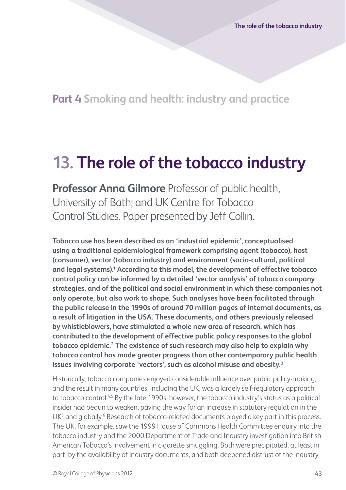<span id="page-50-0"></span>**Part 4 Smoking and health: industry and practice**

### **13. The role of the tobacco industry**

**Professor Anna Gilmore** Professor of public health, University of Bath; and UK Centre for Tobacco Control Studies. Paper presented by Jeff Collin.

**Tobacco use has been described as an 'industrial epidemic', conceptualised using a traditional epidemiological framework comprising agent (tobacco), host (consumer), vector (tobacco industry) and environment (socio-cultural, political and legal systems).1 According to this model, the development of effective tobacco control policy can be informed by a detailed 'vector analysis' of tobacco company strategies, and of the political and social environment in which these companies not only operate, but also work to shape. Such analyses have been facilitated through the public release in the 1990s of around 70 million pages of internal documents, as a result of litigation in the USA. These documents, and others previously released by whistleblowers, have stimulated a whole new area of research, which has contributed to the development of effective public policy responses to the global tobacco epidemic.2 The existence of such research may also help to explain why tobacco control has made greater progress than other contemporary public health issues involving corporate 'vectors', such as alcohol misuse and obesity.3**

Historically, tobacco companies enjoyed considerable influence over public policy-making, and the result in many countries, including the UK, was a largely self-regulatory approach to tobacco control.<sup>4,5</sup> By the late 1990s, however, the tobacco industry's status as a political insider had begun to weaken, paving the way for an increase in statutory regulation in the UK<sup>5</sup> and globally.<sup>6</sup> Research of tobacco-related documents played a key part in this process. The UK, for example, saw the 1999 House of Commons Health Committee enquiry into the tobacco industry and the 2000 Department of Trade and Industry investigation into British American Tobacco's involvement in cigarette smuggling. Both were precipitated, at least in part, by the availability of industry documents, and both deepened distrust of the industry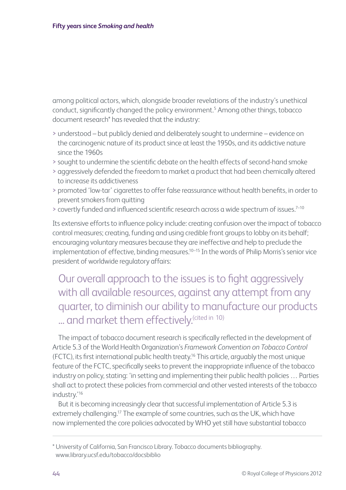among political actors, which, alongside broader revelations of the industry's unethical conduct, significantly changed the policy environment.<sup>5</sup> Among other things, tobacco document research\* has revealed that the industry:

- > understood but publicly denied and deliberately sought to undermine evidence on the carcinogenic nature of its product since at least the 1950s, and its addictive nature since the 1960s
- > sought to undermine the scientific debate on the health effects of second-hand smoke
- > aggressively defended the freedom to market a product that had been chemically altered to increase its addictiveness
- > promoted 'low-tar' cigarettes to offer false reassurance without health benefits, in order to prevent smokers from quitting
- > covertly funded and influenced scientific research across a wide spectrum of issues.<sup>7-10</sup>

Its extensive efforts to influence policy include: creating confusion over the impact of tobacco control measures; creating, funding and using credible front groups to lobby on its behalf; encouraging voluntary measures because they are ineffective and help to preclude the implementation of effective, binding measures.<sup>10-15</sup> In the words of Philip Morris's senior vice president of worldwide regulatory affairs:

Our overall approach to the issues is to fight aggressively with all available resources, against any attempt from any quarter, to diminish our ability to manufacture our products ... and market them effectively.<sup>(cited in 10)</sup>

The impact of tobacco document research is specifically reflected in the development of Article 5.3 of the World Health Organization's *Framework Convention on Tobacco Control* (FCTC), its first international public health treaty.<sup>16</sup> This article, arguably the most unique feature of the FCTC, specifically seeks to prevent the inappropriate influence of the tobacco industry on policy, stating: 'in setting and implementing their public health policies … Parties shall act to protect these policies from commercial and other vested interests of the tobacco industry.'16

But it is becoming increasingly clear that successful implementation of Article 5.3 is extremely challenging.<sup>17</sup> The example of some countries, such as the UK, which have now implemented the core policies advocated by WHO yet still have substantial tobacco

<sup>\*</sup> University of California, San Francisco Library. Tobacco documents bibliography. www.library.ucsf.edu/tobacco/docsbiblio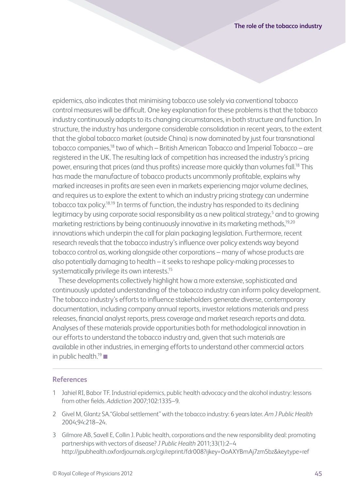epidemics, also indicates that minimising tobacco use solely via conventional tobacco control measures will be difficult. One key explanation for these problems is that the tobacco industry continuously adapts to its changing circumstances, in both structure and function. In structure, the industry has undergone considerable consolidation in recent years, to the extent that the global tobacco market (outside China) is now dominated by just four transnational tobacco companies,18 two of which – British American Tobacco and Imperial Tobacco – are registered in the UK. The resulting lack of competition has increased the industry's pricing power, ensuring that prices (and thus profits) increase more quickly than volumes fall.<sup>18</sup> This has made the manufacture of tobacco products uncommonly profitable, explains why marked increases in profits are seen even in markets experiencing major volume declines, and requires us to explore the extent to which an industry pricing strategy can undermine tobacco tax policy.18,19 In terms of function, the industry has responded to its declining legitimacy by using corporate social responsibility as a new political strategy,<sup>5</sup> and to growing marketing restrictions by being continuously innovative in its marketing methods,<sup>19,20</sup> innovations which underpin the call for plain packaging legislation. Furthermore, recent research reveals that the tobacco industry's influence over policy extends way beyond tobacco control as, working alongside other corporations – many of whose products are also potentially damaging to health – it seeks to reshape policy-making processes to systematically privilege its own interests.15

These developments collectively highlight how a more extensive, sophisticated and continuously updated understanding of the tobacco industry can inform policy development. The tobacco industry's efforts to influence stakeholders generate diverse, contemporary documentation, including company annual reports, investor relations materials and press releases, financial analyst reports, press coverage and market research reports and data. Analyses of these materials provide opportunities both for methodological innovation in our efforts to understand the tobacco industry and, given that such materials are available in other industries, in emerging efforts to understand other commercial actors in public health.<sup>19</sup>

#### **References**

- 1 Jahiel RI, Babor TF. Industrial epidemics, public health advocacy and the alcohol industry: lessons from other fields. *Addiction* 2007;102:1335-9.
- 2 Givel M, Glantz SA."Global settlement" with the tobacco industry: 6 years later. *Am J Public Health* 2004;94:218–24.
- 3 Gilmore AB, Savell E, Collin J. Public health, corporations and the new responsibility deal: promoting partnerships with vectors of disease? *J Public Health* 2011;33(1):2–4 http://jpubhealth.oxfordjournals.org/cgi/reprint/fdr008?ijkey=OoAXYBmAj7zm5bz&keytype=ref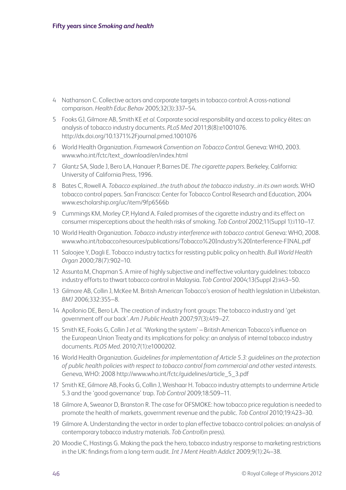- 4 Nathanson C. Collective actors and corporate targets in tobacco control: A cross-national comparison. *Health Educ Behav* 2005;32(3):337–54.
- 5 Fooks GJ, Gilmore AB, Smith KE *et al*. Corporate social responsibility and access to policy élites: an analysis of tobacco industry documents. *PLoS Med* 2011;8(8):e1001076. http://dx.doi.org/10.1371%2Fjournal.pmed.1001076
- 6 World Health Organization. *Framework Convention on Tobacco Control*. Geneva: WHO, 2003. www.who.int/fctc/text\_download/en/index.html
- 7 Glantz SA, Slade J, Bero LA, Hanauer P, Barnes DE. *The cigarette papers*. Berkeley, California: University of California Press, 1996.
- 8 Bates C, Rowell A. *Tobacco explained...the truth about the tobacco industry...in its own words*. WHO tobacco control papers. San Francisco: Center for Tobacco Control Research and Education, 2004 www.escholarship.org/uc/item/9fp6566b
- 9 Cummings KM, Morley CP, Hyland A. Failed promises of the cigarette industry and its effect on consumer misperceptions about the health risks of smoking. *Tob Control* 2002;11(Suppl 1):i110–17.
- 10 World Health Organization. *Tobacco industry interference with tobacco control*. Geneva: WHO, 2008. www.who.int/tobacco/resources/publications/Tobacco%20Industry%20Interference-FINAL.pdf
- 11 Saloojee Y, Dagli E. Tobacco industry tactics for resisting public policy on health. *Bull World Health Organ* 2000;78(7):902–10.
- 12 Assunta M, Chapman S. A mire of highly subjective and ineffective voluntary guidelines: tobacco industry efforts to thwart tobacco control in Malaysia. *Tob Control* 2004;13(Suppl 2):ii43–50.
- 13 Gilmore AB, Collin J, McKee M. British American Tobacco's erosion of health legislation in Uzbekistan. *BMJ* 2006;332:355–8.
- 14 Apollonio DE, Bero LA. The creation of industry front groups: The tobacco industry and 'get government off our back'. *Am J Public Health* 2007;97(3):419–27.
- 15 Smith KE, Fooks G, Collin J et al. 'Working the system' British American Tobacco's influence on the European Union Treaty and its implications for policy: an analysis of internal tobacco industry documents. *PLOS Med*. 2010;7(1):e1000202.
- 16 World Health Organization. *Guidelines for implementation of Article 5.3: guidelines on the protection of public health policies with respect to tobacco control from commercial and other vested interests*. Geneva, WHO: 2008 http://www.who.int/fctc/guidelines/article\_5\_3.pdf
- 17 Smith KE, Gilmore AB, Fooks G, Collin J, Weishaar H. Tobacco industry attempts to undermine Article 5.3 and the 'good governance' trap. *Tob Control* 2009;18:509–11.
- 18 Gilmore A, Sweanor D, Branston R. The case for OFSMOKE: how tobacco price regulation is needed to promote the health of markets, government revenue and the public. *Tob Control* 2010;19:423–30*.*
- 19 Gilmore A. Understanding the vector in order to plan effective tobacco control policies: an analysis of contemporary tobacco industry materials. *Tob Control*(in press).
- 20 Moodie C, Hastings G. Making the pack the hero, tobacco industry response to marketing restrictions in the UK: findings from a long-term audit. *Int J Ment Health Addict* 2009;9(1):24–38.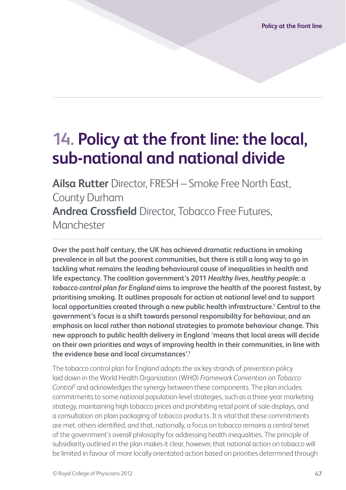## **14. Policy at the front line: the local, sub-national and national divide**

**Ailsa Rutter** Director, FRESH – Smoke Free North East, County Durham **Andrea Crossfield** Director, Tobacco Free Futures, **Manchester** 

**Over the past half century, the UK has achieved dramatic reductions in smoking prevalence in all but the poorest communities, but there is still a long way to go in tackling what remains the leading behavioural cause of inequalities in health and life expectancy. The coalition government's 2011** *Healthy lives, healthy people: a tobacco control plan for England* **aims to improve the health of the poorest fastest, by prioritising smoking. It outlines proposals for action at national level and to support local opportunities created through a new public health infrastructure.1 Central to the government's focus is a shift towards personal responsibility for behaviour, and an emphasis on local rather than national strategies to promote behaviour change. This new approach to public health delivery in England 'means that local areas will decide on their own priorities and ways of improving health in their communities, in line with the evidence base and local circumstances'.1**

The tobacco control plan for England adopts the six key strands of prevention policy laid down in the World Health Organization (WHO) *Framework Convention on Tobacco Control*<sup>2</sup> and acknowledges the synergy between these components. The plan includes commitments to some national population-level strategies, such as a three-year marketing strategy, maintaining high tobacco prices and prohibiting retail point of sale displays, and a consultation on plain packaging of tobacco products. It is vital that these commitments are met, others identified, and that, nationally, a focus on tobacco remains a central tenet of the government's overall philosophy for addressing health inequalities. The principle of subsidiarity outlined in the plan makes it clear, however, that national action on tobacco will be limited in favour of more locally orientated action based on priorities determined through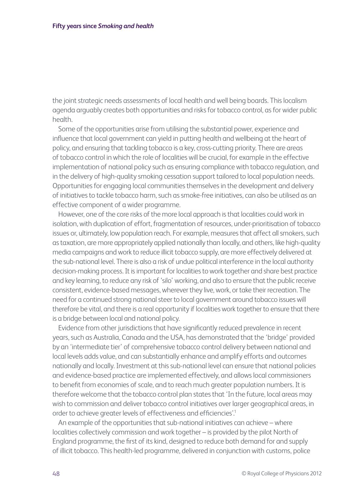the joint strategic needs assessments of local health and well being boards. This localism agenda arguably creates both opportunities and risks for tobacco control, as for wider public health.

Some of the opportunities arise from utilising the substantial power, experience and influence that local government can yield in putting health and wellbeing at the heart of policy, and ensuring that tackling tobacco is a key, cross-cutting priority. There are areas of tobacco control in which the role of localities will be crucial, for example in the effective implementation of national policy such as ensuring compliance with tobacco regulation, and in the delivery of high-quality smoking cessation support tailored to local population needs. Opportunities for engaging local communities themselves in the development and delivery of initiatives to tackle tobacco harm, such as smoke-free initiatives, can also be utilised as an effective component of a wider programme.

However, one of the core risks of the more local approach is that localities could work in isolation, with duplication of effort, fragmentation of resources, under-prioritisation of tobacco issues or, ultimately, low population reach. For example, measures that affect all smokers, such as taxation, are more appropriately applied nationally than locally, and others, like high-quality media campaigns and work to reduce illicit tobacco supply, are more effectively delivered at the sub-national level. There is also a risk of undue political interference in the local authority decision-making process. It is important for localities to work together and share best practice and key learning, to reduce any risk of 'silo' working, and also to ensure that the public receive consistent, evidence-based messages, wherever they live, work, or take their recreation. The need for a continued strong national steer to local government around tobacco issues will therefore be vital, and there is a real opportunity if localities work together to ensure that there is a bridge between local and national policy.

Evidence from other jurisdictions that have significantly reduced prevalence in recent years, such as Australia, Canada and the USA, has demonstrated that the 'bridge' provided by an 'intermediate tier' of comprehensive tobacco control delivery between national and local levels adds value, and can substantially enhance and amplify efforts and outcomes nationally and locally. Investment at this sub-national level can ensure that national policies and evidence-based practice are implemented effectively, and allows local commissioners to benefit from economies of scale, and to reach much greater population numbers. It is therefore welcome that the tobacco control plan states that 'In the future, local areas may wish to commission and deliver tobacco control initiatives over larger geographical areas, in order to achieve greater levels of effectiveness and efficiencies'.<sup>1</sup>

An example of the opportunities that sub-national initiatives can achieve – where localities collectively commission and work together – is provided by the pilot North of England programme, the first of its kind, designed to reduce both demand for and supply of illicit tobacco. This health-led programme, delivered in conjunction with customs, police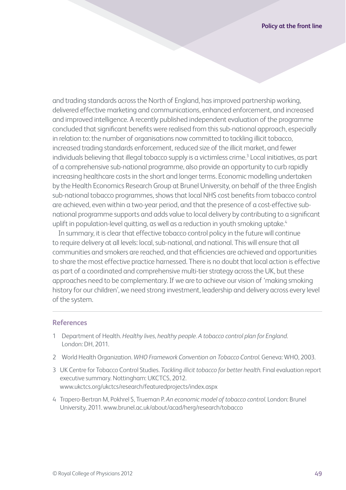and trading standards across the North of England, has improved partnership working, delivered effective marketing and communications, enhanced enforcement, and increased and improved intelligence. A recently published independent evaluation of the programme concluded that significant benefits were realised from this sub-national approach, especially in relation to: the number of organisations now committed to tackling illicit tobacco, increased trading standards enforcement, reduced size of the illicit market, and fewer individuals believing that illegal tobacco supply is a victimless crime.<sup>3</sup> Local initiatives, as part of a comprehensive sub-national programme, also provide an opportunity to curb rapidly increasing healthcare costs in the short and longer terms. Economic modelling undertaken by the Health Economics Research Group at Brunel University, on behalf of the three English sub-national tobacco programmes, shows that local NHS cost benefits from tobacco control are achieved, even within a two-year period, and that the presence of a cost-effective subnational programme supports and adds value to local delivery by contributing to a significant uplift in population-level quitting, as well as a reduction in youth smoking uptake.<sup>4</sup>

In summary, it is clear that effective tobacco control policy in the future will continue to require delivery at all levels: local, sub-national, and national. This will ensure that all communities and smokers are reached, and that efficiencies are achieved and opportunities to share the most effective practice harnessed. There is no doubt that local action is effective as part of a coordinated and comprehensive multi-tier strategy across the UK, but these approaches need to be complementary. If we are to achieve our vision of 'making smoking history for our children', we need strong investment, leadership and delivery across every level of the system.

#### **References**

- 1 Department of Health. *Healthy lives, healthy people. A tobacco control plan for England*. London: DH, 2011.
- 2 World Health Organization. *WHO Framework Convention on Tobacco Control*. Geneva: WHO, 2003.
- 3 UK Centre for Tobacco Control Studies. *Tackling illicit tobacco for better health*. Final evaluation report executive summary. Nottingham: UKCTCS, 2012. www.ukctcs.org/ukctcs/research/featuredprojects/index.aspx
- 4 Trapero-Bertran M, Pokhrel S, Trueman P. *An economic model of tobacco control*. London: Brunel University, 2011. www.brunel.ac.uk/about/acad/herg/research/tobacco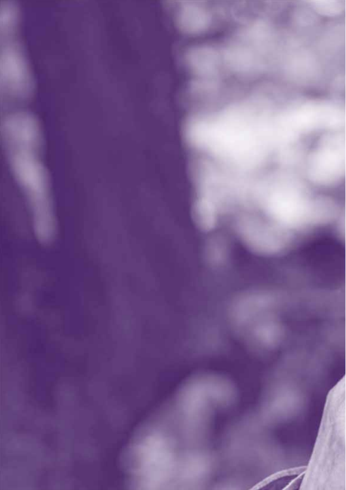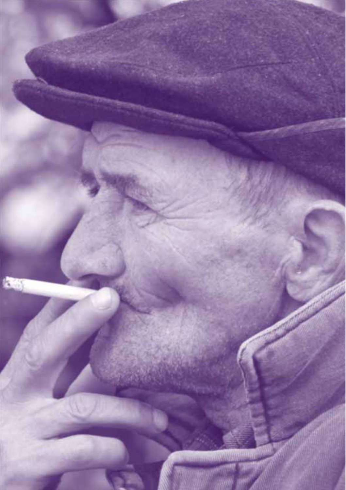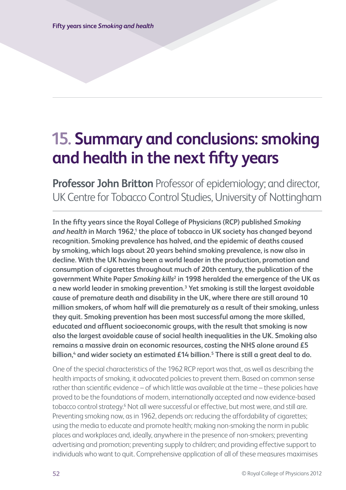# <span id="page-59-0"></span>**15. Summary and conclusions: smoking**  and health in the next fifty years

**Professor John Britton** Professor of epidemiology; and director, UK Centre for Tobacco Control Studies, University of Nottingham

In the fifty years since the Royal College of Physicians (RCP) published *Smoking* and health in March 1962,<sup>1</sup> the place of tobacco in UK society has changed beyond **recognition. Smoking prevalence has halved, and the epidemic of deaths caused by smoking, which lags about 20 years behind smoking prevalence, is now also in decline. With the UK having been a world leader in the production, promotion and consumption of cigarettes throughout much of 20th century, the publication of the government White Paper** *Smoking kills***<sup>2</sup> in 1998 heralded the emergence of the UK as a new world leader in smoking prevention.3 Yet smoking is still the largest avoidable cause of premature death and disability in the UK, where there are still around 10 million smokers, of whom half will die prematurely as a result of their smoking, unless they quit. Smoking prevention has been most successful among the more skilled,**  educated and affluent socioeconomic groups, with the result that smoking is now **also the largest avoidable cause of social health inequalities in the UK. Smoking also remains a massive drain on economic resources, costing the NHS alone around £5**  billion,<sup>4</sup> and wider society an estimated £14 billion.<sup>5</sup> There is still a great deal to do.

One of the special characteristics of the 1962 RCP report was that, as well as describing the health impacts of smoking, it advocated policies to prevent them. Based on common sense rather than scientific evidence – of which little was available at the time – these policies have proved to be the foundations of modern, internationally accepted and now evidence-based tobacco control strategy.<sup>6</sup> Not all were successful or effective, but most were, and still are. Preventing smoking now, as in 1962, depends on: reducing the affordability of cigarettes; using the media to educate and promote health; making non-smoking the norm in public places and workplaces and, ideally, anywhere in the presence of non-smokers; preventing advertising and promotion; preventing supply to children; and providing effective support to individuals who want to quit. Comprehensive application of all of these measures maximises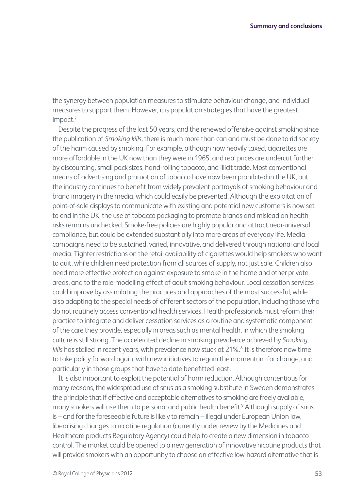the synergy between population measures to stimulate behaviour change, and individual measures to support them. However, it is population strategies that have the greatest impact.<sup>7</sup>

Despite the progress of the last 50 years, and the renewed offensive against smoking since the publication of *Smoking kills,* there is much more than can and must be done to rid society of the harm caused by smoking. For example, although now heavily taxed, cigarettes are more affordable in the UK now than they were in 1965, and real prices are undercut further by discounting, small pack sizes, hand-rolling tobacco, and illicit trade. Most conventional means of advertising and promotion of tobacco have now been prohibited in the UK, but the industry continues to benefit from widely prevalent portrayals of smoking behaviour and brand imagery in the media, which could easily be prevented. Although the exploitation of point-of-sale displays to communicate with existing and potential new customers is now set to end in the UK, the use of tobacco packaging to promote brands and mislead on health risks remains unchecked. Smoke-free policies are highly popular and attract near-universal compliance, but could be extended substantially into more areas of everyday life. Media campaigns need to be sustained, varied, innovative, and delivered through national and local media. Tighter restrictions on the retail availability of cigarettes would help smokers who want to quit, while children need protection from all sources of supply, not just sale. Children also need more effective protection against exposure to smoke in the home and other private areas, and to the role-modelling effect of adult smoking behaviour. Local cessation services could improve by assimilating the practices and approaches of the most successful, while also adapting to the special needs of different sectors of the population, including those who do not routinely access conventional health services. Health professionals must reform their practice to integrate and deliver cessation services as a routine and systematic component of the care they provide, especially in areas such as mental health, in which the smoking culture is still strong. The accelerated decline in smoking prevalence achieved by *Smoking*  kills has stalled in recent years, with prevalence now stuck at 21%.<sup>8</sup> It is therefore now time to take policy forward again, with new initiatives to regain the momentum for change, and particularly in those groups that have to date benefitted least.

It is also important to exploit the potential of harm reduction. Although contentious for many reasons, the widespread use of snus as a smoking substitute in Sweden demonstrates the principle that if effective and acceptable alternatives to smoking are freely available, many smokers will use them to personal and public health benefit.<sup>9</sup> Although supply of snus is – and for the foreseeable future is likely to remain – illegal under European Union law, liberalising changes to nicotine regulation (currently under review by the Medicines and Healthcare products Regulatory Agency) could help to create a new dimension in tobacco control. The market could be opened to a new generation of innovative nicotine products that will provide smokers with an opportunity to choose an effective low-hazard alternative that is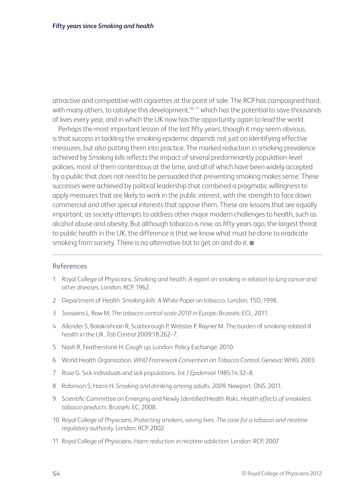attractive and competitive with cigarettes at the point of sale. The RCP has campaigned hard, with many others, to catalyse this development,<sup>10, 11</sup> which has the potential to save thousands of lives every year, and in which the UK now has the opportunity again to lead the world.

Perhaps the most important lesson of the last fifty years, though it may seem obvious, is that success in tackling the smoking epidemic depends not just on identifying effective measures, but also putting them into practice. The marked reduction in smoking prevalence achieved by *Smoking kills* reflects the impact of several predominantly population-level policies, most of them contentious at the time, and all of which have been widely accepted by a public that does not need to be persuaded that preventing smoking makes sense. These successes were achieved by political leadership that combined a pragmatic willingness to apply measures that are likely to work in the public interest, with the strength to face down commercial and other special interests that oppose them. These are lessons that are equally important, as society attempts to address other major modern challenges to health, such as alcohol abuse and obesity. But although tobacco is now, as fifty years ago, the largest threat to public health in the UK, the difference is that we know what must be done to eradicate smoking from society. There is no alternative but to get on and do it. ■

#### **References**

- 1 Royal College of Physicians. *Smoking and health. A report on smoking in relation to lung cancer and other diseases*. London: RCP, 1962.
- 2 Department of Health. *Smoking kills.* A White Paper on tobacco. London: TSO, 1998.
- 3 Joossens L, Raw M. *The tobacco control scale 2010 in Europe*. Brussels: ECL, 2011.
- 4 Allender S, Balakrishnan R, Scarborough P, Webster P, Rayner M. The burden of smoking-related ill health in the UK. *Tob Control* 2009;18:262–7.
- 5 Nash R, Featherstone H. *Cough up*. London: Policy Exchange, 2010.
- 6 World Health Organization. *WHO Framework Convention on Tobacco Control*. Geneva: WHO, 2003.
- 7 Rose G. Sick individuals and sick populations. *Int J Epidemiol* 1985;14:32–8.
- 8 Robinson S, Harris H. *Smoking and drinking among adults, 2009*. Newport: ONS, 2011.
- 9 Scientific Committee on Emerging and Newly Identified Health Risks. *Health effects of smokeless tobacco products*. Brussels: EC, 2008.
- 10 Royal College of Physicians. *Protecting smokers, saving lives. The case for a tobacco and nicotine regulatory authority*. London: RCP, 2002.
- 11 Royal College of Physicians. *Harm reduction in nicotine addiction*. London: RCP, 2007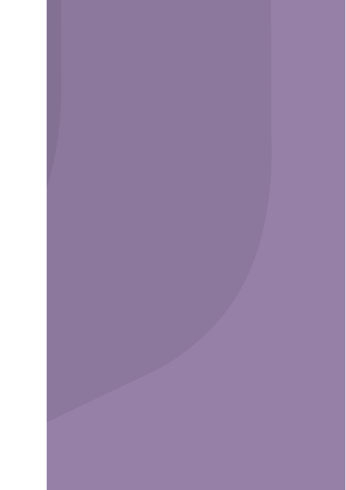